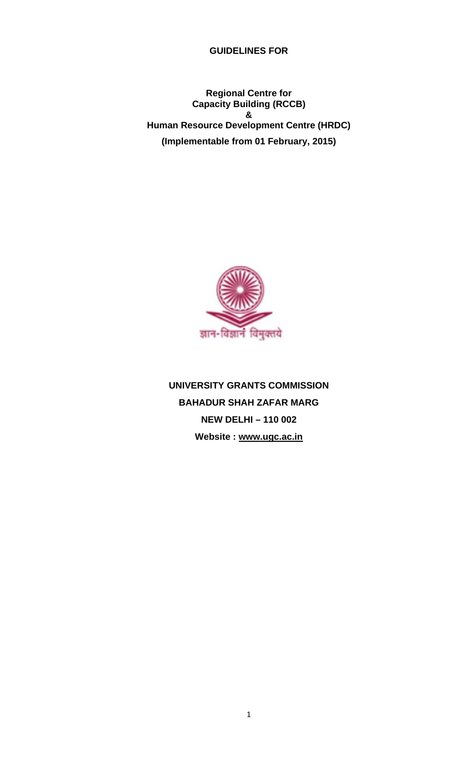**GUIDELINES FOR** 

**Regional Centre for Capacity Building (RCCB) & Human Resource Development Centre (HRDC) (Implementable from 01 February, 2015)** 



**UNIVERSITY GRANTS COMMISSION BAHADUR SHAH ZAFAR MARG NEW DELHI – 110 002 Website : www.ugc.ac.in**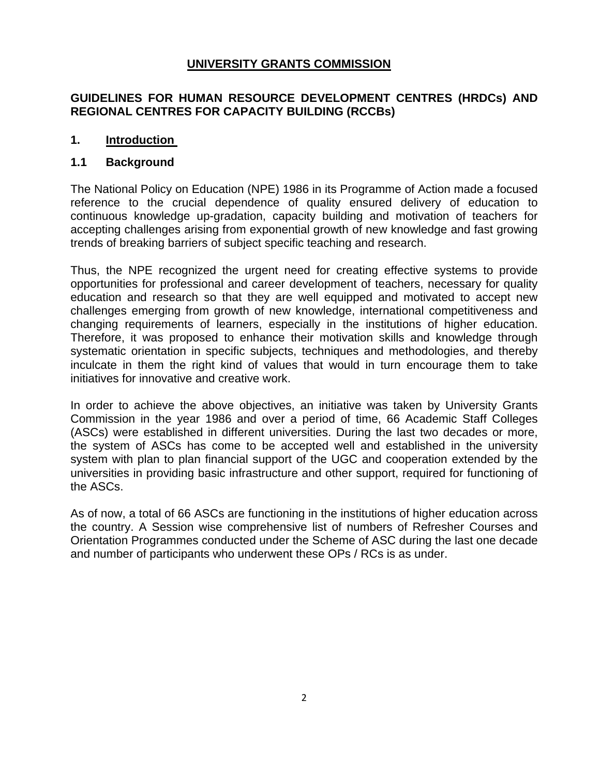## **UNIVERSITY GRANTS COMMISSION**

## **GUIDELINES FOR HUMAN RESOURCE DEVELOPMENT CENTRES (HRDCs) AND REGIONAL CENTRES FOR CAPACITY BUILDING (RCCBs)**

#### **1. Introduction**

#### **1.1 Background**

The National Policy on Education (NPE) 1986 in its Programme of Action made a focused reference to the crucial dependence of quality ensured delivery of education to continuous knowledge up-gradation, capacity building and motivation of teachers for accepting challenges arising from exponential growth of new knowledge and fast growing trends of breaking barriers of subject specific teaching and research.

Thus, the NPE recognized the urgent need for creating effective systems to provide opportunities for professional and career development of teachers, necessary for quality education and research so that they are well equipped and motivated to accept new challenges emerging from growth of new knowledge, international competitiveness and changing requirements of learners, especially in the institutions of higher education. Therefore, it was proposed to enhance their motivation skills and knowledge through systematic orientation in specific subjects, techniques and methodologies, and thereby inculcate in them the right kind of values that would in turn encourage them to take initiatives for innovative and creative work.

In order to achieve the above objectives, an initiative was taken by University Grants Commission in the year 1986 and over a period of time, 66 Academic Staff Colleges (ASCs) were established in different universities. During the last two decades or more, the system of ASCs has come to be accepted well and established in the university system with plan to plan financial support of the UGC and cooperation extended by the universities in providing basic infrastructure and other support, required for functioning of the ASCs.

As of now, a total of 66 ASCs are functioning in the institutions of higher education across the country. A Session wise comprehensive list of numbers of Refresher Courses and Orientation Programmes conducted under the Scheme of ASC during the last one decade and number of participants who underwent these OPs / RCs is as under.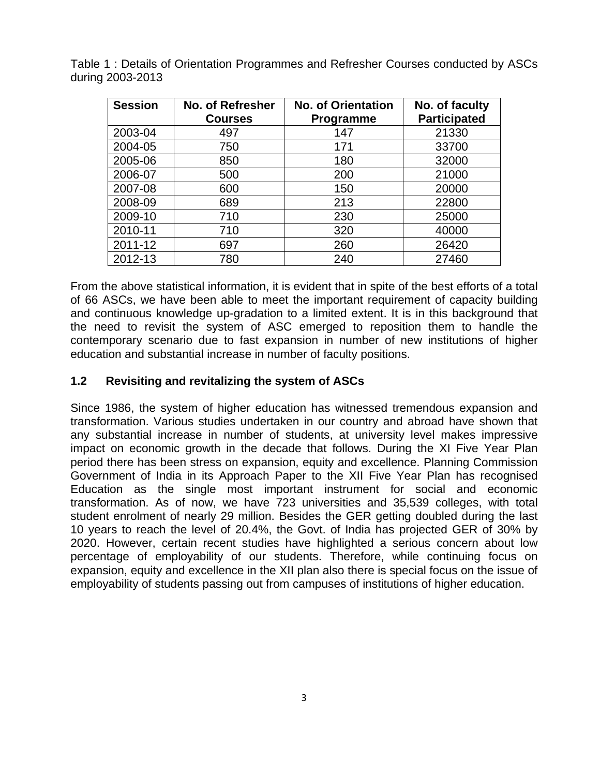| <b>Session</b> | <b>No. of Refresher</b><br><b>Courses</b> | <b>No. of Orientation</b><br>Programme | No. of faculty<br><b>Participated</b> |
|----------------|-------------------------------------------|----------------------------------------|---------------------------------------|
| 2003-04        | 497                                       | 147                                    | 21330                                 |
| 2004-05        | 750                                       | 171                                    | 33700                                 |
| 2005-06        | 850                                       | 180                                    | 32000                                 |
| 2006-07        | 500                                       | 200                                    | 21000                                 |
| 2007-08        | 600                                       | 150                                    | 20000                                 |
| 2008-09        | 689                                       | 213                                    | 22800                                 |
| 2009-10        | 710                                       | 230                                    | 25000                                 |
| 2010-11        | 710                                       | 320                                    | 40000                                 |
| 2011-12        | 697                                       | 260                                    | 26420                                 |
| 2012-13        | 780                                       | 240                                    | 27460                                 |

Table 1 : Details of Orientation Programmes and Refresher Courses conducted by ASCs during 2003-2013

From the above statistical information, it is evident that in spite of the best efforts of a total of 66 ASCs, we have been able to meet the important requirement of capacity building and continuous knowledge up-gradation to a limited extent. It is in this background that the need to revisit the system of ASC emerged to reposition them to handle the contemporary scenario due to fast expansion in number of new institutions of higher education and substantial increase in number of faculty positions.

#### **1.2 Revisiting and revitalizing the system of ASCs**

Since 1986, the system of higher education has witnessed tremendous expansion and transformation. Various studies undertaken in our country and abroad have shown that any substantial increase in number of students, at university level makes impressive impact on economic growth in the decade that follows. During the XI Five Year Plan period there has been stress on expansion, equity and excellence. Planning Commission Government of India in its Approach Paper to the XII Five Year Plan has recognised Education as the single most important instrument for social and economic transformation. As of now, we have 723 universities and 35,539 colleges, with total student enrolment of nearly 29 million. Besides the GER getting doubled during the last 10 years to reach the level of 20.4%, the Govt. of India has projected GER of 30% by 2020. However, certain recent studies have highlighted a serious concern about low percentage of employability of our students. Therefore, while continuing focus on expansion, equity and excellence in the XII plan also there is special focus on the issue of employability of students passing out from campuses of institutions of higher education.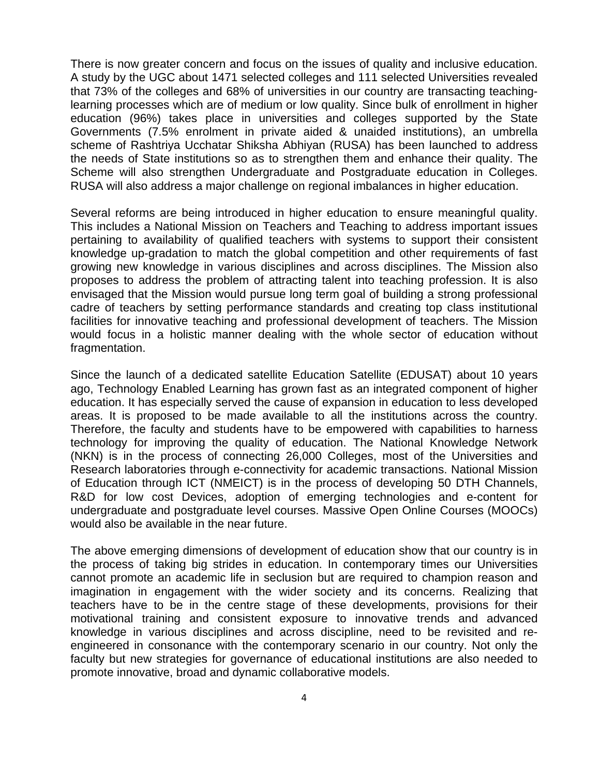There is now greater concern and focus on the issues of quality and inclusive education. A study by the UGC about 1471 selected colleges and 111 selected Universities revealed that 73% of the colleges and 68% of universities in our country are transacting teachinglearning processes which are of medium or low quality. Since bulk of enrollment in higher education (96%) takes place in universities and colleges supported by the State Governments (7.5% enrolment in private aided & unaided institutions), an umbrella scheme of Rashtriya Ucchatar Shiksha Abhiyan (RUSA) has been launched to address the needs of State institutions so as to strengthen them and enhance their quality. The Scheme will also strengthen Undergraduate and Postgraduate education in Colleges. RUSA will also address a major challenge on regional imbalances in higher education.

Several reforms are being introduced in higher education to ensure meaningful quality. This includes a National Mission on Teachers and Teaching to address important issues pertaining to availability of qualified teachers with systems to support their consistent knowledge up-gradation to match the global competition and other requirements of fast growing new knowledge in various disciplines and across disciplines. The Mission also proposes to address the problem of attracting talent into teaching profession. It is also envisaged that the Mission would pursue long term goal of building a strong professional cadre of teachers by setting performance standards and creating top class institutional facilities for innovative teaching and professional development of teachers. The Mission would focus in a holistic manner dealing with the whole sector of education without fragmentation.

Since the launch of a dedicated satellite Education Satellite (EDUSAT) about 10 years ago, Technology Enabled Learning has grown fast as an integrated component of higher education. It has especially served the cause of expansion in education to less developed areas. It is proposed to be made available to all the institutions across the country. Therefore, the faculty and students have to be empowered with capabilities to harness technology for improving the quality of education. The National Knowledge Network (NKN) is in the process of connecting 26,000 Colleges, most of the Universities and Research laboratories through e-connectivity for academic transactions. National Mission of Education through ICT (NMEICT) is in the process of developing 50 DTH Channels, R&D for low cost Devices, adoption of emerging technologies and e-content for undergraduate and postgraduate level courses. Massive Open Online Courses (MOOCs) would also be available in the near future.

The above emerging dimensions of development of education show that our country is in the process of taking big strides in education. In contemporary times our Universities cannot promote an academic life in seclusion but are required to champion reason and imagination in engagement with the wider society and its concerns. Realizing that teachers have to be in the centre stage of these developments, provisions for their motivational training and consistent exposure to innovative trends and advanced knowledge in various disciplines and across discipline, need to be revisited and reengineered in consonance with the contemporary scenario in our country. Not only the faculty but new strategies for governance of educational institutions are also needed to promote innovative, broad and dynamic collaborative models.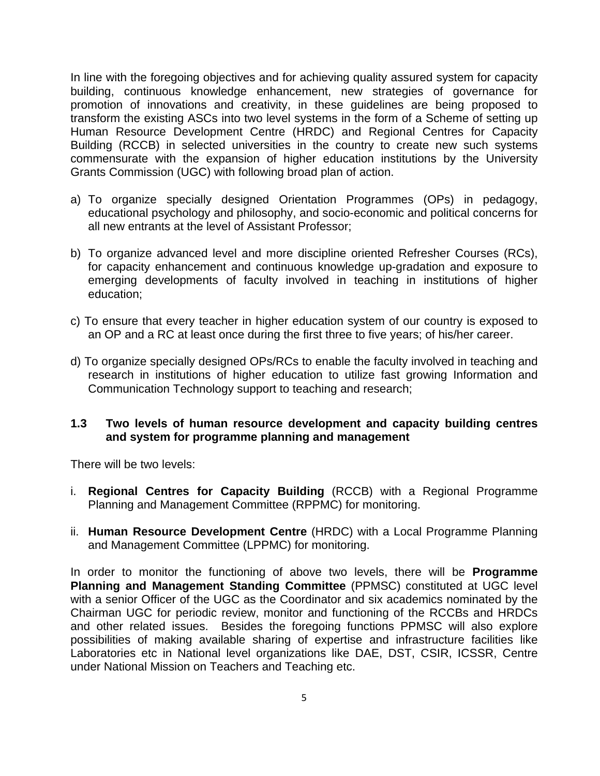In line with the foregoing objectives and for achieving quality assured system for capacity building, continuous knowledge enhancement, new strategies of governance for promotion of innovations and creativity, in these guidelines are being proposed to transform the existing ASCs into two level systems in the form of a Scheme of setting up Human Resource Development Centre (HRDC) and Regional Centres for Capacity Building (RCCB) in selected universities in the country to create new such systems commensurate with the expansion of higher education institutions by the University Grants Commission (UGC) with following broad plan of action.

- a) To organize specially designed Orientation Programmes (OPs) in pedagogy, educational psychology and philosophy, and socio-economic and political concerns for all new entrants at the level of Assistant Professor;
- b) To organize advanced level and more discipline oriented Refresher Courses (RCs), for capacity enhancement and continuous knowledge up-gradation and exposure to emerging developments of faculty involved in teaching in institutions of higher education;
- c) To ensure that every teacher in higher education system of our country is exposed to an OP and a RC at least once during the first three to five years; of his/her career.
- d) To organize specially designed OPs/RCs to enable the faculty involved in teaching and research in institutions of higher education to utilize fast growing Information and Communication Technology support to teaching and research;

#### **1.3 Two levels of human resource development and capacity building centres and system for programme planning and management**

There will be two levels:

- i. **Regional Centres for Capacity Building** (RCCB) with a Regional Programme Planning and Management Committee (RPPMC) for monitoring.
- ii. **Human Resource Development Centre** (HRDC) with a Local Programme Planning and Management Committee (LPPMC) for monitoring.

In order to monitor the functioning of above two levels, there will be **Programme Planning and Management Standing Committee** (PPMSC) constituted at UGC level with a senior Officer of the UGC as the Coordinator and six academics nominated by the Chairman UGC for periodic review, monitor and functioning of the RCCBs and HRDCs and other related issues. Besides the foregoing functions PPMSC will also explore possibilities of making available sharing of expertise and infrastructure facilities like Laboratories etc in National level organizations like DAE, DST, CSIR, ICSSR, Centre under National Mission on Teachers and Teaching etc.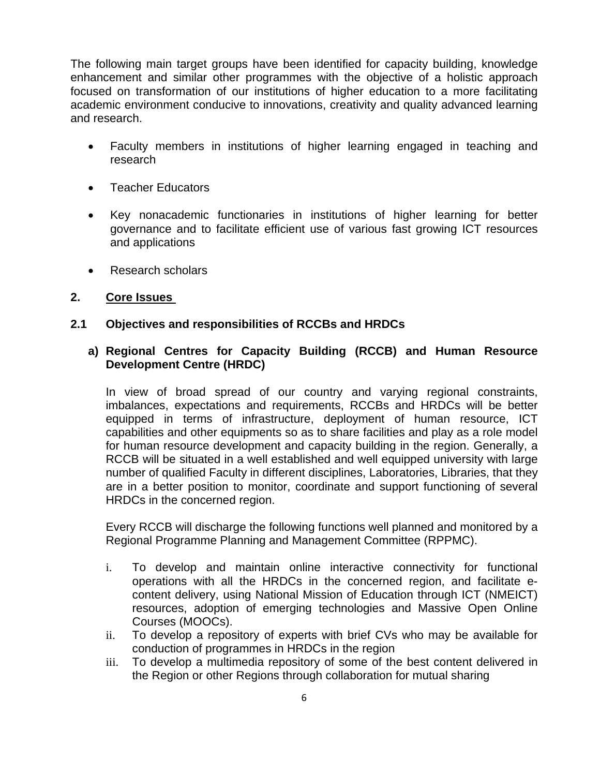The following main target groups have been identified for capacity building, knowledge enhancement and similar other programmes with the objective of a holistic approach focused on transformation of our institutions of higher education to a more facilitating academic environment conducive to innovations, creativity and quality advanced learning and research.

- Faculty members in institutions of higher learning engaged in teaching and research
- Teacher Educators
- Key nonacademic functionaries in institutions of higher learning for better governance and to facilitate efficient use of various fast growing ICT resources and applications
- Research scholars

#### **2. Core Issues**

#### **2.1 Objectives and responsibilities of RCCBs and HRDCs**

#### **a) Regional Centres for Capacity Building (RCCB) and Human Resource Development Centre (HRDC)**

In view of broad spread of our country and varying regional constraints, imbalances, expectations and requirements, RCCBs and HRDCs will be better equipped in terms of infrastructure, deployment of human resource, ICT capabilities and other equipments so as to share facilities and play as a role model for human resource development and capacity building in the region. Generally, a RCCB will be situated in a well established and well equipped university with large number of qualified Faculty in different disciplines, Laboratories, Libraries, that they are in a better position to monitor, coordinate and support functioning of several HRDCs in the concerned region.

Every RCCB will discharge the following functions well planned and monitored by a Regional Programme Planning and Management Committee (RPPMC).

- i. To develop and maintain online interactive connectivity for functional operations with all the HRDCs in the concerned region, and facilitate econtent delivery, using National Mission of Education through ICT (NMEICT) resources, adoption of emerging technologies and Massive Open Online Courses (MOOCs).
- ii. To develop a repository of experts with brief CVs who may be available for conduction of programmes in HRDCs in the region
- iii. To develop a multimedia repository of some of the best content delivered in the Region or other Regions through collaboration for mutual sharing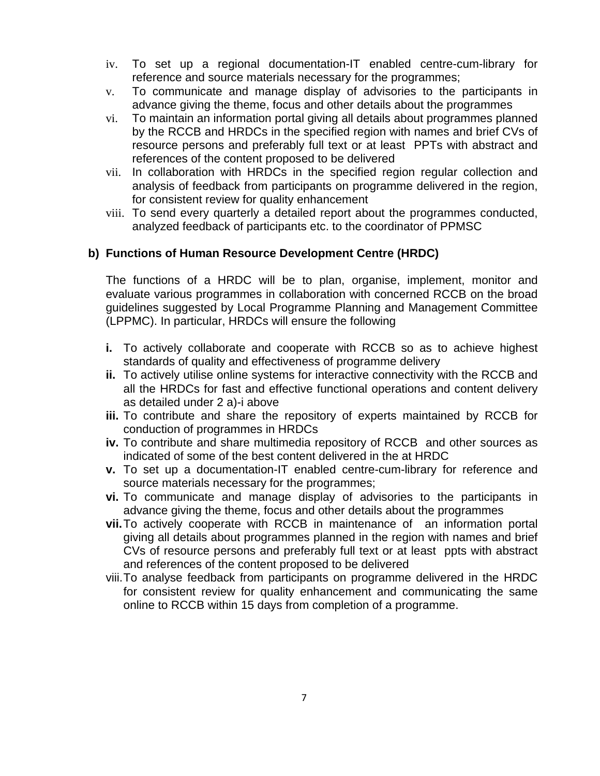- iv. To set up a regional documentation-IT enabled centre-cum-library for reference and source materials necessary for the programmes;
- v. To communicate and manage display of advisories to the participants in advance giving the theme, focus and other details about the programmes
- vi. To maintain an information portal giving all details about programmes planned by the RCCB and HRDCs in the specified region with names and brief CVs of resource persons and preferably full text or at least PPTs with abstract and references of the content proposed to be delivered
- vii. In collaboration with HRDCs in the specified region regular collection and analysis of feedback from participants on programme delivered in the region, for consistent review for quality enhancement
- viii. To send every quarterly a detailed report about the programmes conducted, analyzed feedback of participants etc. to the coordinator of PPMSC

#### **b) Functions of Human Resource Development Centre (HRDC)**

The functions of a HRDC will be to plan, organise, implement, monitor and evaluate various programmes in collaboration with concerned RCCB on the broad guidelines suggested by Local Programme Planning and Management Committee (LPPMC). In particular, HRDCs will ensure the following

- **i.** To actively collaborate and cooperate with RCCB so as to achieve highest standards of quality and effectiveness of programme delivery
- **ii.** To actively utilise online systems for interactive connectivity with the RCCB and all the HRDCs for fast and effective functional operations and content delivery as detailed under 2 a)-i above
- **iii.** To contribute and share the repository of experts maintained by RCCB for conduction of programmes in HRDCs
- **iv.** To contribute and share multimedia repository of RCCB and other sources as indicated of some of the best content delivered in the at HRDC
- **v.** To set up a documentation-IT enabled centre-cum-library for reference and source materials necessary for the programmes;
- **vi.** To communicate and manage display of advisories to the participants in advance giving the theme, focus and other details about the programmes
- **vii.** To actively cooperate with RCCB in maintenance of an information portal giving all details about programmes planned in the region with names and brief CVs of resource persons and preferably full text or at least ppts with abstract and references of the content proposed to be delivered
- viii. To analyse feedback from participants on programme delivered in the HRDC for consistent review for quality enhancement and communicating the same online to RCCB within 15 days from completion of a programme.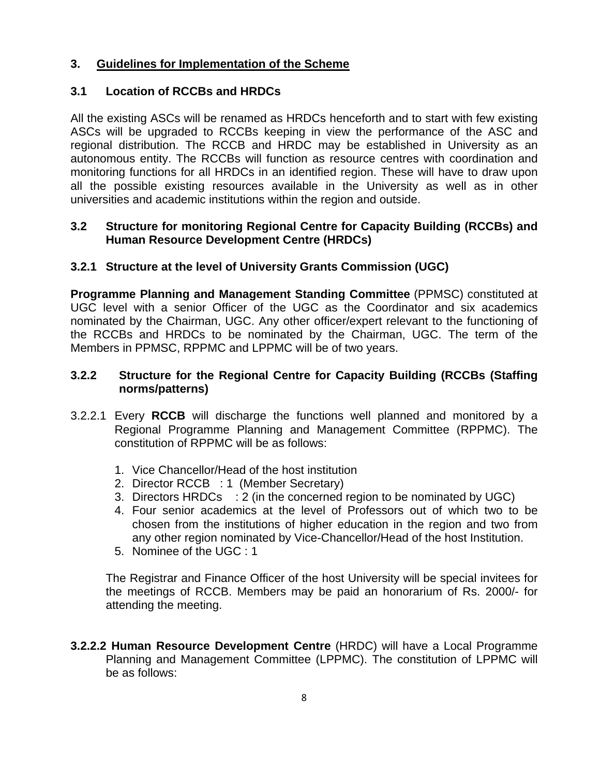## **3. Guidelines for Implementation of the Scheme**

#### **3.1 Location of RCCBs and HRDCs**

All the existing ASCs will be renamed as HRDCs henceforth and to start with few existing ASCs will be upgraded to RCCBs keeping in view the performance of the ASC and regional distribution. The RCCB and HRDC may be established in University as an autonomous entity. The RCCBs will function as resource centres with coordination and monitoring functions for all HRDCs in an identified region. These will have to draw upon all the possible existing resources available in the University as well as in other universities and academic institutions within the region and outside.

#### **3.2 Structure for monitoring Regional Centre for Capacity Building (RCCBs) and Human Resource Development Centre (HRDCs)**

#### **3.2.1 Structure at the level of University Grants Commission (UGC)**

**Programme Planning and Management Standing Committee** (PPMSC) constituted at UGC level with a senior Officer of the UGC as the Coordinator and six academics nominated by the Chairman, UGC. Any other officer/expert relevant to the functioning of the RCCBs and HRDCs to be nominated by the Chairman, UGC. The term of the Members in PPMSC, RPPMC and LPPMC will be of two years.

#### **3.2.2 Structure for the Regional Centre for Capacity Building (RCCBs (Staffing norms/patterns)**

- 3.2.2.1 Every **RCCB** will discharge the functions well planned and monitored by a Regional Programme Planning and Management Committee (RPPMC). The constitution of RPPMC will be as follows:
	- 1. Vice Chancellor/Head of the host institution
	- 2. Director RCCB : 1 (Member Secretary)
	- 3. Directors HRDCs : 2 (in the concerned region to be nominated by UGC)
	- 4. Four senior academics at the level of Professors out of which two to be chosen from the institutions of higher education in the region and two from any other region nominated by Vice-Chancellor/Head of the host Institution.
	- 5. Nominee of the UGC : 1

The Registrar and Finance Officer of the host University will be special invitees for the meetings of RCCB. Members may be paid an honorarium of Rs. 2000/- for attending the meeting.

**3.2.2.2 Human Resource Development Centre** (HRDC) will have a Local Programme Planning and Management Committee (LPPMC). The constitution of LPPMC will be as follows: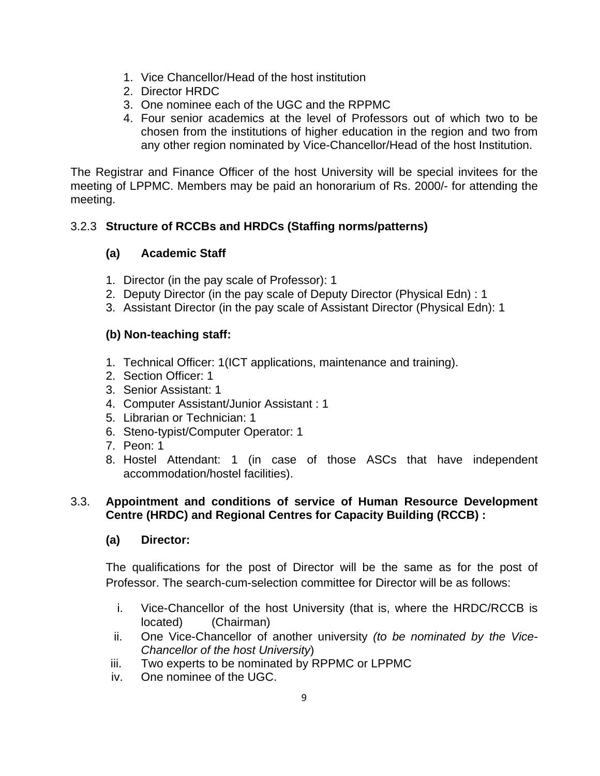- 1. Vice Chancellor/Head of the host institution
- 2. Director HRDC
- 3. One nominee each of the UGC and the RPPMC
- 4. Four senior academics at the level of Professors out of which two to be chosen from the institutions of higher education in the region and two from any other region nominated by Vice-Chancellor/Head of the host Institution.

The Registrar and Finance Officer of the host University will be special invitees for the meeting of LPPMC. Members may be paid an honorarium of Rs. 2000/- for attending the meeting.

## 3.2.3 **Structure of RCCBs and HRDCs (Staffing norms/patterns)**

## **(a) Academic Staff**

- 1. Director (in the pay scale of Professor): 1
- 2. Deputy Director (in the pay scale of Deputy Director (Physical Edn) : 1
- 3. Assistant Director (in the pay scale of Assistant Director (Physical Edn): 1

## **(b) Non-teaching staff:**

- 1. Technical Officer: 1(ICT applications, maintenance and training).
- 2. Section Officer: 1
- 3. Senior Assistant: 1
- 4. Computer Assistant/Junior Assistant : 1
- 5. Librarian or Technician: 1
- 6. Steno-typist/Computer Operator: 1
- 7. Peon: 1
- 8. Hostel Attendant: 1 (in case of those ASCs that have independent accommodation/hostel facilities).

## 3.3. **Appointment and conditions of service of Human Resource Development Centre (HRDC) and Regional Centres for Capacity Building (RCCB) :**

#### **(a) Director:**

The qualifications for the post of Director will be the same as for the post of Professor. The search-cum-selection committee for Director will be as follows:

- i. Vice-Chancellor of the host University (that is, where the HRDC/RCCB is located) (Chairman)
- ii. One Vice-Chancellor of another university *(to be nominated by the Vice-Chancellor of the host University*)
- iii. Two experts to be nominated by RPPMC or LPPMC
- iv. One nominee of the UGC.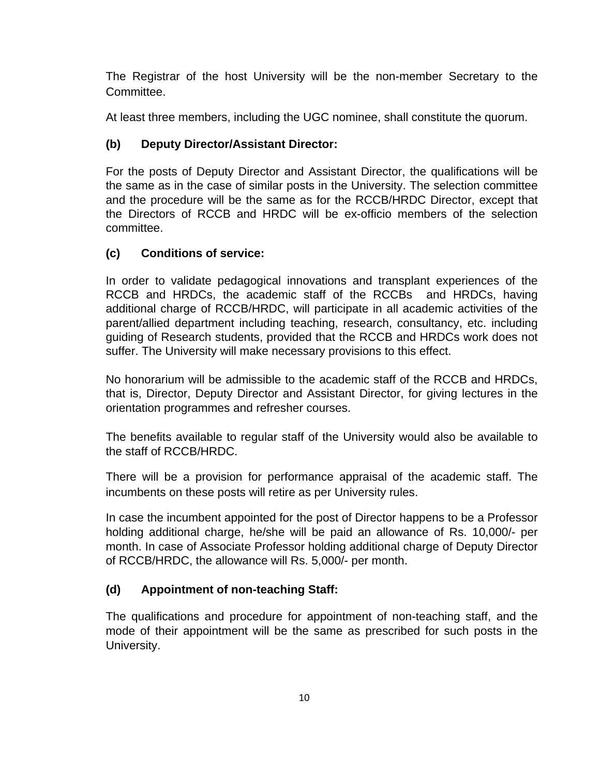The Registrar of the host University will be the non-member Secretary to the Committee.

At least three members, including the UGC nominee, shall constitute the quorum.

## **(b) Deputy Director/Assistant Director:**

For the posts of Deputy Director and Assistant Director, the qualifications will be the same as in the case of similar posts in the University. The selection committee and the procedure will be the same as for the RCCB/HRDC Director, except that the Directors of RCCB and HRDC will be ex-officio members of the selection committee.

## **(c) Conditions of service:**

In order to validate pedagogical innovations and transplant experiences of the RCCB and HRDCs, the academic staff of the RCCBs and HRDCs, having additional charge of RCCB/HRDC, will participate in all academic activities of the parent/allied department including teaching, research, consultancy, etc. including guiding of Research students, provided that the RCCB and HRDCs work does not suffer. The University will make necessary provisions to this effect.

No honorarium will be admissible to the academic staff of the RCCB and HRDCs, that is, Director, Deputy Director and Assistant Director, for giving lectures in the orientation programmes and refresher courses.

The benefits available to regular staff of the University would also be available to the staff of RCCB/HRDC.

There will be a provision for performance appraisal of the academic staff. The incumbents on these posts will retire as per University rules.

In case the incumbent appointed for the post of Director happens to be a Professor holding additional charge, he/she will be paid an allowance of Rs. 10,000/- per month. In case of Associate Professor holding additional charge of Deputy Director of RCCB/HRDC, the allowance will Rs. 5,000/- per month.

# **(d) Appointment of non-teaching Staff:**

The qualifications and procedure for appointment of non-teaching staff, and the mode of their appointment will be the same as prescribed for such posts in the University.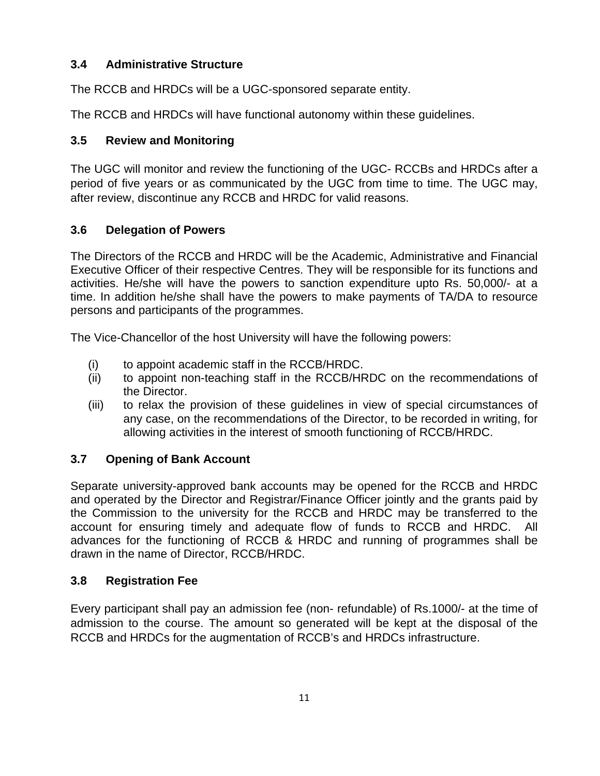## **3.4 Administrative Structure**

The RCCB and HRDCs will be a UGC-sponsored separate entity.

The RCCB and HRDCs will have functional autonomy within these guidelines.

## **3.5 Review and Monitoring**

The UGC will monitor and review the functioning of the UGC- RCCBs and HRDCs after a period of five years or as communicated by the UGC from time to time. The UGC may, after review, discontinue any RCCB and HRDC for valid reasons.

## **3.6 Delegation of Powers**

The Directors of the RCCB and HRDC will be the Academic, Administrative and Financial Executive Officer of their respective Centres. They will be responsible for its functions and activities. He/she will have the powers to sanction expenditure upto Rs. 50,000/- at a time. In addition he/she shall have the powers to make payments of TA/DA to resource persons and participants of the programmes.

The Vice-Chancellor of the host University will have the following powers:

- (i) to appoint academic staff in the RCCB/HRDC.
- (ii) to appoint non-teaching staff in the RCCB/HRDC on the recommendations of the Director.
- (iii) to relax the provision of these guidelines in view of special circumstances of any case, on the recommendations of the Director, to be recorded in writing, for allowing activities in the interest of smooth functioning of RCCB/HRDC.

#### **3.7 Opening of Bank Account**

Separate university-approved bank accounts may be opened for the RCCB and HRDC and operated by the Director and Registrar/Finance Officer jointly and the grants paid by the Commission to the university for the RCCB and HRDC may be transferred to the account for ensuring timely and adequate flow of funds to RCCB and HRDC. All advances for the functioning of RCCB & HRDC and running of programmes shall be drawn in the name of Director, RCCB/HRDC.

#### **3.8 Registration Fee**

Every participant shall pay an admission fee (non- refundable) of Rs.1000/- at the time of admission to the course. The amount so generated will be kept at the disposal of the RCCB and HRDCs for the augmentation of RCCB's and HRDCs infrastructure.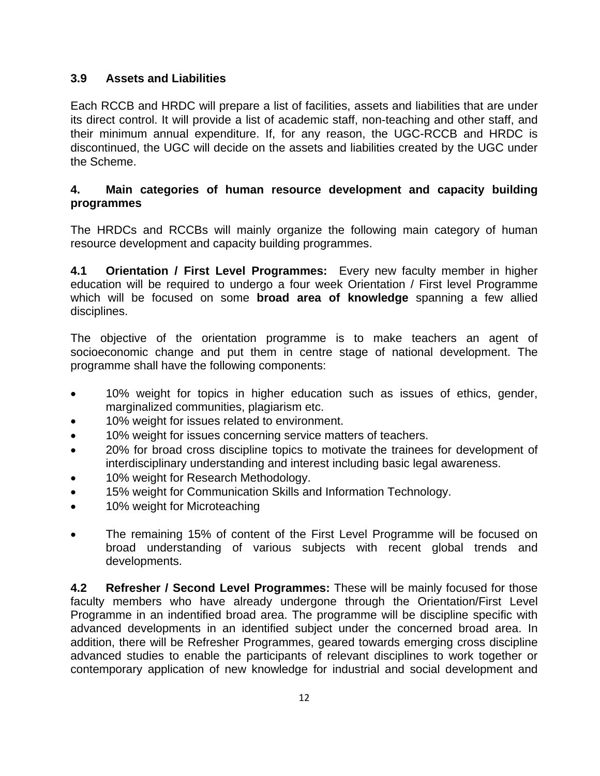## **3.9 Assets and Liabilities**

Each RCCB and HRDC will prepare a list of facilities, assets and liabilities that are under its direct control. It will provide a list of academic staff, non-teaching and other staff, and their minimum annual expenditure. If, for any reason, the UGC-RCCB and HRDC is discontinued, the UGC will decide on the assets and liabilities created by the UGC under the Scheme.

#### **4. Main categories of human resource development and capacity building programmes**

The HRDCs and RCCBs will mainly organize the following main category of human resource development and capacity building programmes.

**4.1 Orientation / First Level Programmes:** Every new faculty member in higher education will be required to undergo a four week Orientation / First level Programme which will be focused on some **broad area of knowledge** spanning a few allied disciplines.

The objective of the orientation programme is to make teachers an agent of socioeconomic change and put them in centre stage of national development. The programme shall have the following components:

- 10% weight for topics in higher education such as issues of ethics, gender, marginalized communities, plagiarism etc.
- 10% weight for issues related to environment.
- 10% weight for issues concerning service matters of teachers.
- 20% for broad cross discipline topics to motivate the trainees for development of interdisciplinary understanding and interest including basic legal awareness.
- 10% weight for Research Methodology.
- 15% weight for Communication Skills and Information Technology.
- 10% weight for Microteaching
- The remaining 15% of content of the First Level Programme will be focused on broad understanding of various subjects with recent global trends and developments.

**4.2 Refresher / Second Level Programmes:** These will be mainly focused for those faculty members who have already undergone through the Orientation/First Level Programme in an indentified broad area. The programme will be discipline specific with advanced developments in an identified subject under the concerned broad area. In addition, there will be Refresher Programmes, geared towards emerging cross discipline advanced studies to enable the participants of relevant disciplines to work together or contemporary application of new knowledge for industrial and social development and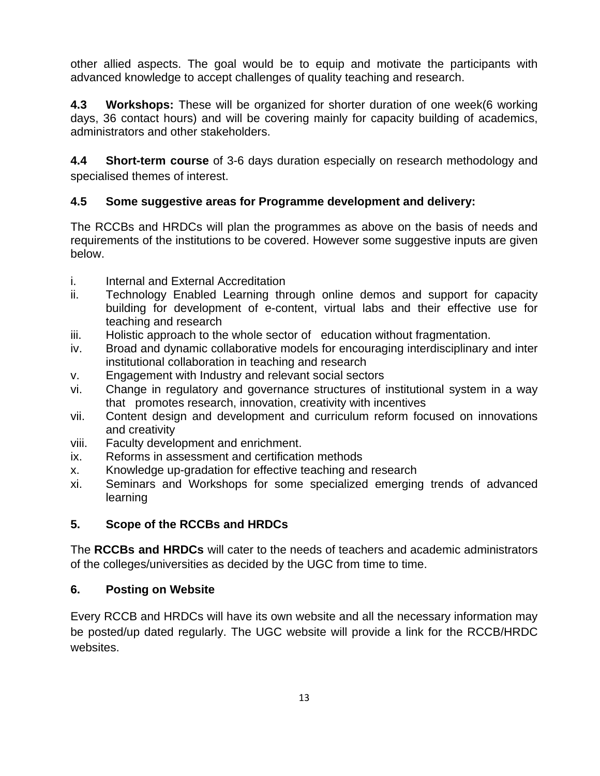other allied aspects. The goal would be to equip and motivate the participants with advanced knowledge to accept challenges of quality teaching and research.

**4.3 Workshops:** These will be organized for shorter duration of one week(6 working days, 36 contact hours) and will be covering mainly for capacity building of academics, administrators and other stakeholders.

**4.4 Short-term course** of 3-6 days duration especially on research methodology and specialised themes of interest.

## **4.5 Some suggestive areas for Programme development and delivery:**

The RCCBs and HRDCs will plan the programmes as above on the basis of needs and requirements of the institutions to be covered. However some suggestive inputs are given below.

- i. Internal and External Accreditation
- ii. Technology Enabled Learning through online demos and support for capacity building for development of e-content, virtual labs and their effective use for teaching and research
- iii. Holistic approach to the whole sector of education without fragmentation.
- iv. Broad and dynamic collaborative models for encouraging interdisciplinary and inter institutional collaboration in teaching and research
- v. Engagement with Industry and relevant social sectors
- vi. Change in regulatory and governance structures of institutional system in a way that promotes research, innovation, creativity with incentives
- vii. Content design and development and curriculum reform focused on innovations and creativity
- viii. Faculty development and enrichment.
- ix. Reforms in assessment and certification methods
- x. Knowledge up-gradation for effective teaching and research
- xi. Seminars and Workshops for some specialized emerging trends of advanced learning

## **5. Scope of the RCCBs and HRDCs**

The **RCCBs and HRDCs** will cater to the needs of teachers and academic administrators of the colleges/universities as decided by the UGC from time to time.

## **6. Posting on Website**

Every RCCB and HRDCs will have its own website and all the necessary information may be posted/up dated regularly. The UGC website will provide a link for the RCCB/HRDC websites.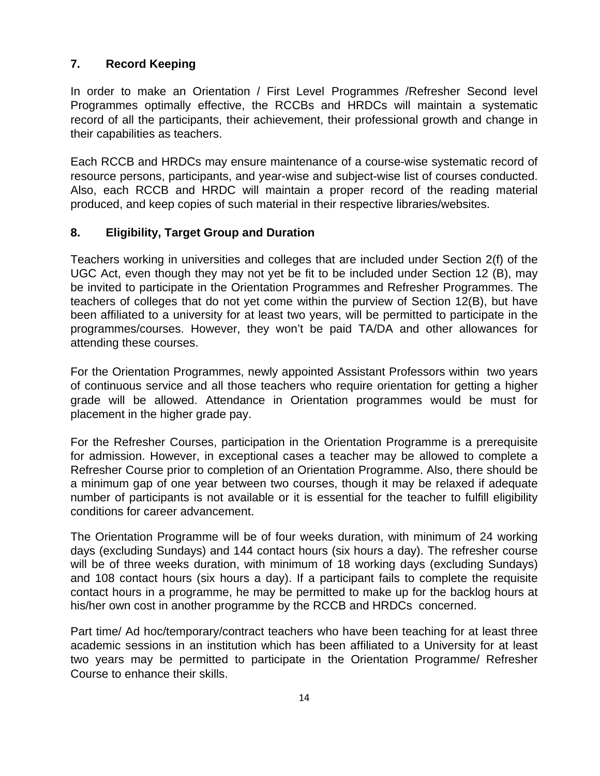## **7. Record Keeping**

In order to make an Orientation / First Level Programmes /Refresher Second level Programmes optimally effective, the RCCBs and HRDCs will maintain a systematic record of all the participants, their achievement, their professional growth and change in their capabilities as teachers.

Each RCCB and HRDCs may ensure maintenance of a course-wise systematic record of resource persons, participants, and year-wise and subject-wise list of courses conducted. Also, each RCCB and HRDC will maintain a proper record of the reading material produced, and keep copies of such material in their respective libraries/websites.

#### **8. Eligibility, Target Group and Duration**

Teachers working in universities and colleges that are included under Section 2(f) of the UGC Act, even though they may not yet be fit to be included under Section 12 (B), may be invited to participate in the Orientation Programmes and Refresher Programmes. The teachers of colleges that do not yet come within the purview of Section 12(B), but have been affiliated to a university for at least two years, will be permitted to participate in the programmes/courses. However, they won't be paid TA/DA and other allowances for attending these courses.

For the Orientation Programmes, newly appointed Assistant Professors within two years of continuous service and all those teachers who require orientation for getting a higher grade will be allowed. Attendance in Orientation programmes would be must for placement in the higher grade pay.

For the Refresher Courses, participation in the Orientation Programme is a prerequisite for admission. However, in exceptional cases a teacher may be allowed to complete a Refresher Course prior to completion of an Orientation Programme. Also, there should be a minimum gap of one year between two courses, though it may be relaxed if adequate number of participants is not available or it is essential for the teacher to fulfill eligibility conditions for career advancement.

The Orientation Programme will be of four weeks duration, with minimum of 24 working days (excluding Sundays) and 144 contact hours (six hours a day). The refresher course will be of three weeks duration, with minimum of 18 working days (excluding Sundays) and 108 contact hours (six hours a day). If a participant fails to complete the requisite contact hours in a programme, he may be permitted to make up for the backlog hours at his/her own cost in another programme by the RCCB and HRDCs concerned.

Part time/ Ad hoc/temporary/contract teachers who have been teaching for at least three academic sessions in an institution which has been affiliated to a University for at least two years may be permitted to participate in the Orientation Programme/ Refresher Course to enhance their skills.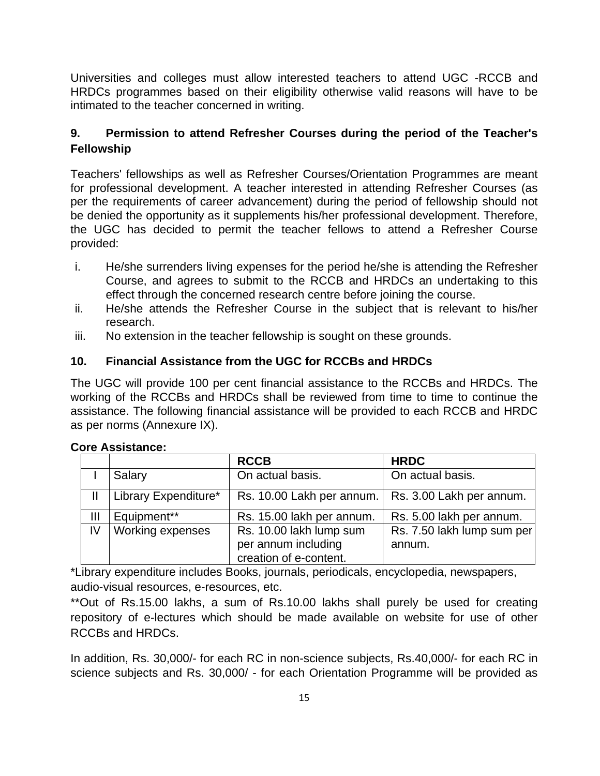Universities and colleges must allow interested teachers to attend UGC -RCCB and HRDCs programmes based on their eligibility otherwise valid reasons will have to be intimated to the teacher concerned in writing.

## **9. Permission to attend Refresher Courses during the period of the Teacher's Fellowship**

Teachers' fellowships as well as Refresher Courses/Orientation Programmes are meant for professional development. A teacher interested in attending Refresher Courses (as per the requirements of career advancement) during the period of fellowship should not be denied the opportunity as it supplements his/her professional development. Therefore, the UGC has decided to permit the teacher fellows to attend a Refresher Course provided:

- i. He/she surrenders living expenses for the period he/she is attending the Refresher Course, and agrees to submit to the RCCB and HRDCs an undertaking to this effect through the concerned research centre before joining the course.
- ii. He/she attends the Refresher Course in the subject that is relevant to his/her research.
- iii. No extension in the teacher fellowship is sought on these grounds.

## **10. Financial Assistance from the UGC for RCCBs and HRDCs**

The UGC will provide 100 per cent financial assistance to the RCCBs and HRDCs. The working of the RCCBs and HRDCs shall be reviewed from time to time to continue the assistance. The following financial assistance will be provided to each RCCB and HRDC as per norms (Annexure IX).

|    |                      | <b>RCCB</b>                                                              | <b>HRDC</b>                          |
|----|----------------------|--------------------------------------------------------------------------|--------------------------------------|
|    | Salary               | On actual basis.                                                         | On actual basis.                     |
|    | Library Expenditure* | Rs. 10.00 Lakh per annum.                                                | Rs. 3.00 Lakh per annum.             |
| Ш  | Equipment**          | Rs. 15.00 lakh per annum.                                                | Rs. 5.00 lakh per annum.             |
| IV | Working expenses     | Rs. 10.00 lakh lump sum<br>per annum including<br>creation of e-content. | Rs. 7.50 lakh lump sum per<br>annum. |

#### **Core Assistance:**

\*Library expenditure includes Books, journals, periodicals, encyclopedia, newspapers, audio-visual resources, e-resources, etc.

\*\*Out of Rs.15.00 lakhs, a sum of Rs.10.00 lakhs shall purely be used for creating repository of e-lectures which should be made available on website for use of other RCCBs and HRDCs.

In addition, Rs. 30,000/- for each RC in non-science subjects, Rs.40,000/- for each RC in science subjects and Rs. 30,000/ - for each Orientation Programme will be provided as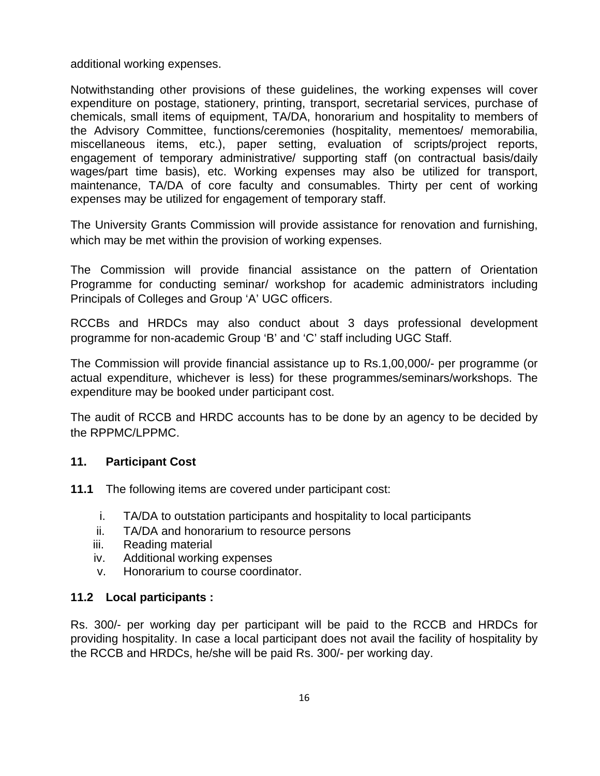additional working expenses.

Notwithstanding other provisions of these guidelines, the working expenses will cover expenditure on postage, stationery, printing, transport, secretarial services, purchase of chemicals, small items of equipment, TA/DA, honorarium and hospitality to members of the Advisory Committee, functions/ceremonies (hospitality, mementoes/ memorabilia, miscellaneous items, etc.), paper setting, evaluation of scripts/project reports, engagement of temporary administrative/ supporting staff (on contractual basis/daily wages/part time basis), etc. Working expenses may also be utilized for transport, maintenance, TA/DA of core faculty and consumables. Thirty per cent of working expenses may be utilized for engagement of temporary staff.

The University Grants Commission will provide assistance for renovation and furnishing, which may be met within the provision of working expenses.

The Commission will provide financial assistance on the pattern of Orientation Programme for conducting seminar/ workshop for academic administrators including Principals of Colleges and Group 'A' UGC officers.

RCCBs and HRDCs may also conduct about 3 days professional development programme for non-academic Group 'B' and 'C' staff including UGC Staff.

The Commission will provide financial assistance up to Rs.1,00,000/- per programme (or actual expenditure, whichever is less) for these programmes/seminars/workshops. The expenditure may be booked under participant cost.

The audit of RCCB and HRDC accounts has to be done by an agency to be decided by the RPPMC/LPPMC.

#### **11. Participant Cost**

- **11.1** The following items are covered under participant cost:
	- i. TA/DA to outstation participants and hospitality to local participants
	- ii. TA/DA and honorarium to resource persons
	- iii. Reading material
	- iv. Additional working expenses
	- v. Honorarium to course coordinator.

#### **11.2 Local participants :**

Rs. 300/- per working day per participant will be paid to the RCCB and HRDCs for providing hospitality. In case a local participant does not avail the facility of hospitality by the RCCB and HRDCs, he/she will be paid Rs. 300/- per working day.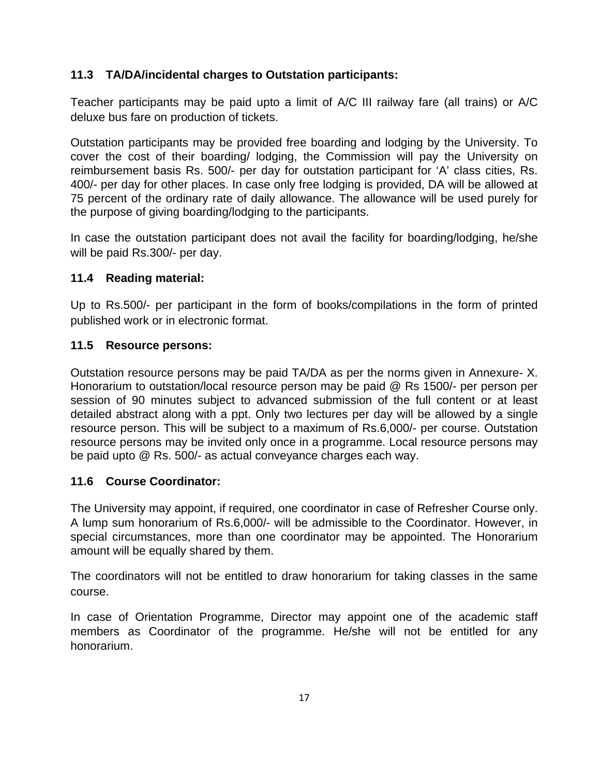## **11.3 TA/DA/incidental charges to Outstation participants:**

Teacher participants may be paid upto a limit of A/C III railway fare (all trains) or A/C deluxe bus fare on production of tickets.

Outstation participants may be provided free boarding and lodging by the University. To cover the cost of their boarding/ lodging, the Commission will pay the University on reimbursement basis Rs. 500/- per day for outstation participant for 'A' class cities, Rs. 400/- per day for other places. In case only free lodging is provided, DA will be allowed at 75 percent of the ordinary rate of daily allowance. The allowance will be used purely for the purpose of giving boarding/lodging to the participants.

In case the outstation participant does not avail the facility for boarding/lodging, he/she will be paid Rs.300/- per day.

#### **11.4 Reading material:**

Up to Rs.500/- per participant in the form of books/compilations in the form of printed published work or in electronic format.

#### **11.5 Resource persons:**

Outstation resource persons may be paid TA/DA as per the norms given in Annexure- X. Honorarium to outstation/local resource person may be paid @ Rs 1500/- per person per session of 90 minutes subject to advanced submission of the full content or at least detailed abstract along with a ppt. Only two lectures per day will be allowed by a single resource person. This will be subject to a maximum of Rs.6,000/- per course. Outstation resource persons may be invited only once in a programme. Local resource persons may be paid upto @ Rs. 500/- as actual conveyance charges each way.

#### **11.6 Course Coordinator:**

The University may appoint, if required, one coordinator in case of Refresher Course only. A lump sum honorarium of Rs.6,000/- will be admissible to the Coordinator. However, in special circumstances, more than one coordinator may be appointed. The Honorarium amount will be equally shared by them.

The coordinators will not be entitled to draw honorarium for taking classes in the same course.

In case of Orientation Programme, Director may appoint one of the academic staff members as Coordinator of the programme. He/she will not be entitled for any honorarium.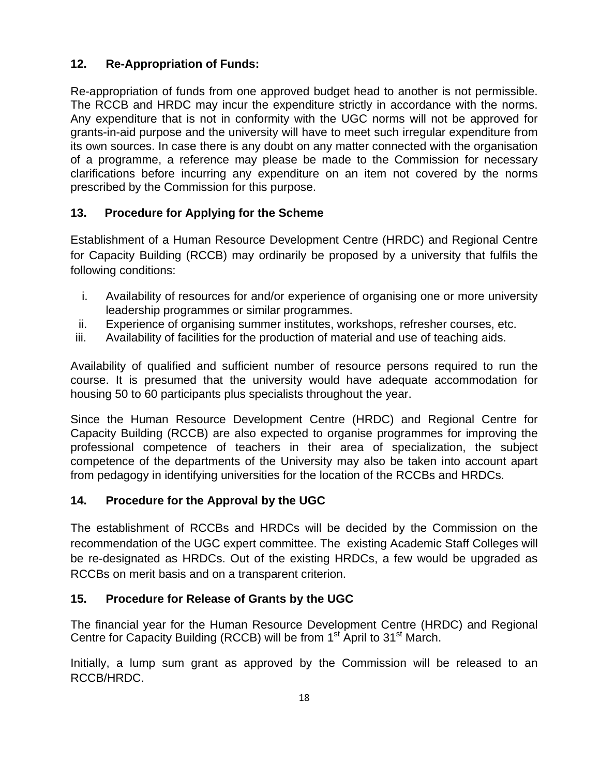## **12. Re-Appropriation of Funds:**

Re-appropriation of funds from one approved budget head to another is not permissible. The RCCB and HRDC may incur the expenditure strictly in accordance with the norms. Any expenditure that is not in conformity with the UGC norms will not be approved for grants-in-aid purpose and the university will have to meet such irregular expenditure from its own sources. In case there is any doubt on any matter connected with the organisation of a programme, a reference may please be made to the Commission for necessary clarifications before incurring any expenditure on an item not covered by the norms prescribed by the Commission for this purpose.

## **13. Procedure for Applying for the Scheme**

Establishment of a Human Resource Development Centre (HRDC) and Regional Centre for Capacity Building (RCCB) may ordinarily be proposed by a university that fulfils the following conditions:

- i. Availability of resources for and/or experience of organising one or more university leadership programmes or similar programmes.
- ii. Experience of organising summer institutes, workshops, refresher courses, etc.
- iii. Availability of facilities for the production of material and use of teaching aids.

Availability of qualified and sufficient number of resource persons required to run the course. It is presumed that the university would have adequate accommodation for housing 50 to 60 participants plus specialists throughout the year.

Since the Human Resource Development Centre (HRDC) and Regional Centre for Capacity Building (RCCB) are also expected to organise programmes for improving the professional competence of teachers in their area of specialization, the subject competence of the departments of the University may also be taken into account apart from pedagogy in identifying universities for the location of the RCCBs and HRDCs.

## **14. Procedure for the Approval by the UGC**

The establishment of RCCBs and HRDCs will be decided by the Commission on the recommendation of the UGC expert committee. The existing Academic Staff Colleges will be re-designated as HRDCs. Out of the existing HRDCs, a few would be upgraded as RCCBs on merit basis and on a transparent criterion.

## **15. Procedure for Release of Grants by the UGC**

The financial year for the Human Resource Development Centre (HRDC) and Regional Centre for Capacity Building (RCCB) will be from 1<sup>st</sup> April to 31<sup>st</sup> March.

Initially, a lump sum grant as approved by the Commission will be released to an RCCB/HRDC.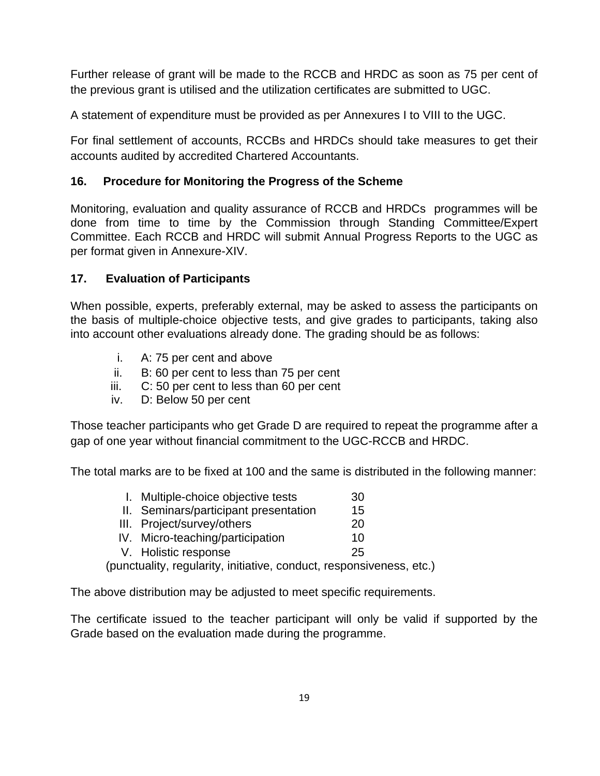Further release of grant will be made to the RCCB and HRDC as soon as 75 per cent of the previous grant is utilised and the utilization certificates are submitted to UGC.

A statement of expenditure must be provided as per Annexures I to VIII to the UGC.

For final settlement of accounts, RCCBs and HRDCs should take measures to get their accounts audited by accredited Chartered Accountants.

## **16. Procedure for Monitoring the Progress of the Scheme**

Monitoring, evaluation and quality assurance of RCCB and HRDCs programmes will be done from time to time by the Commission through Standing Committee/Expert Committee. Each RCCB and HRDC will submit Annual Progress Reports to the UGC as per format given in Annexure-XIV.

## **17. Evaluation of Participants**

When possible, experts, preferably external, may be asked to assess the participants on the basis of multiple-choice objective tests, and give grades to participants, taking also into account other evaluations already done. The grading should be as follows:

- i. A: 75 per cent and above
- ii. B: 60 per cent to less than 75 per cent
- iii. C: 50 per cent to less than 60 per cent
- iv. D: Below 50 per cent

Those teacher participants who get Grade D are required to repeat the programme after a gap of one year without financial commitment to the UGC-RCCB and HRDC.

The total marks are to be fixed at 100 and the same is distributed in the following manner:

| I. Multiple-choice objective tests                                   | 30 |
|----------------------------------------------------------------------|----|
| II. Seminars/participant presentation                                | 15 |
| III. Project/survey/others                                           | 20 |
| IV. Micro-teaching/participation                                     | 10 |
| V. Holistic response                                                 | 25 |
| (punctuality, regularity, initiative, conduct, responsiveness, etc.) |    |

The above distribution may be adjusted to meet specific requirements.

The certificate issued to the teacher participant will only be valid if supported by the Grade based on the evaluation made during the programme.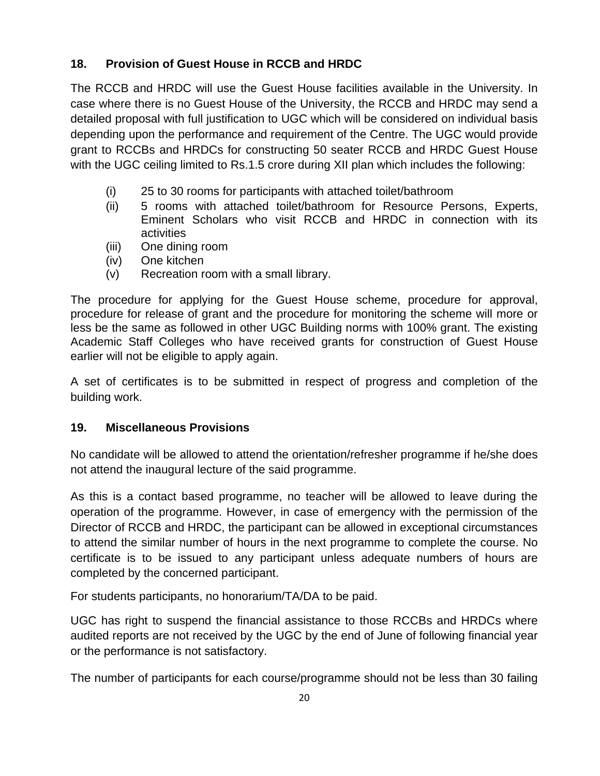## **18. Provision of Guest House in RCCB and HRDC**

The RCCB and HRDC will use the Guest House facilities available in the University. In case where there is no Guest House of the University, the RCCB and HRDC may send a detailed proposal with full justification to UGC which will be considered on individual basis depending upon the performance and requirement of the Centre. The UGC would provide grant to RCCBs and HRDCs for constructing 50 seater RCCB and HRDC Guest House with the UGC ceiling limited to Rs.1.5 crore during XII plan which includes the following:

- (i) 25 to 30 rooms for participants with attached toilet/bathroom
- (ii) 5 rooms with attached toilet/bathroom for Resource Persons, Experts, Eminent Scholars who visit RCCB and HRDC in connection with its activities
- (iii) One dining room
- (iv) One kitchen
- (v) Recreation room with a small library.

The procedure for applying for the Guest House scheme, procedure for approval, procedure for release of grant and the procedure for monitoring the scheme will more or less be the same as followed in other UGC Building norms with 100% grant. The existing Academic Staff Colleges who have received grants for construction of Guest House earlier will not be eligible to apply again.

A set of certificates is to be submitted in respect of progress and completion of the building work.

#### **19. Miscellaneous Provisions**

No candidate will be allowed to attend the orientation/refresher programme if he/she does not attend the inaugural lecture of the said programme.

As this is a contact based programme, no teacher will be allowed to leave during the operation of the programme. However, in case of emergency with the permission of the Director of RCCB and HRDC, the participant can be allowed in exceptional circumstances to attend the similar number of hours in the next programme to complete the course. No certificate is to be issued to any participant unless adequate numbers of hours are completed by the concerned participant.

For students participants, no honorarium/TA/DA to be paid.

UGC has right to suspend the financial assistance to those RCCBs and HRDCs where audited reports are not received by the UGC by the end of June of following financial year or the performance is not satisfactory.

The number of participants for each course/programme should not be less than 30 failing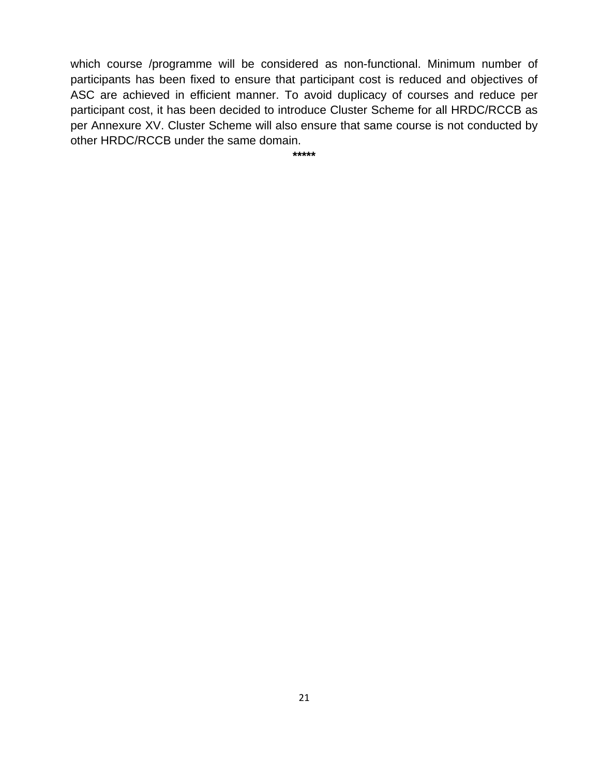which course /programme will be considered as non-functional. Minimum number of participants has been fixed to ensure that participant cost is reduced and objectives of ASC are achieved in efficient manner. To avoid duplicacy of courses and reduce per participant cost, it has been decided to introduce Cluster Scheme for all HRDC/RCCB as per Annexure XV. Cluster Scheme will also ensure that same course is not conducted by other HRDC/RCCB under the same domain.

**\*\*\*\*\***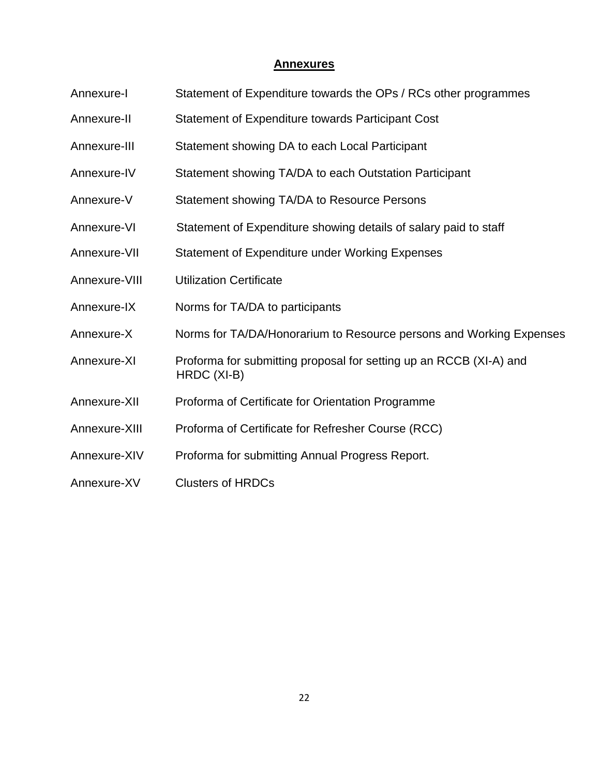#### **Annexures**

- Annexure-I Statement of Expenditure towards the OPs / RCs other programmes
- Annexure-II Statement of Expenditure towards Participant Cost
- Annexure-III Statement showing DA to each Local Participant
- Annexure-IV Statement showing TA/DA to each Outstation Participant
- Annexure-V Statement showing TA/DA to Resource Persons
- Annexure-VI Statement of Expenditure showing details of salary paid to staff
- Annexure-VII Statement of Expenditure under Working Expenses
- Annexure-VIII Utilization Certificate
- Annexure-IX Norms for TA/DA to participants
- Annexure-X Norms for TA/DA/Honorarium to Resource persons and Working Expenses
- Annexure-XI Proforma for submitting proposal for setting up an RCCB (XI-A) and HRDC (XI-B)
- Annexure-XII Proforma of Certificate for Orientation Programme
- Annexure-XIII Proforma of Certificate for Refresher Course (RCC)
- Annexure-XIV Proforma for submitting Annual Progress Report.
- Annexure-XV Clusters of HRDCs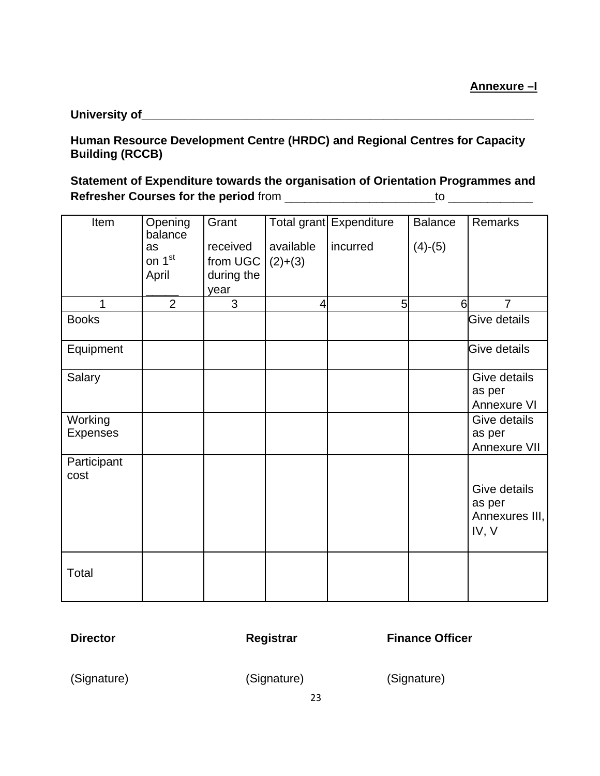**University of\_\_\_\_\_\_\_\_\_\_\_\_\_\_\_\_\_\_\_\_\_\_\_\_\_\_\_\_\_\_\_\_\_\_\_\_\_\_\_\_\_\_\_\_\_\_\_\_\_\_\_\_\_\_\_\_\_\_\_\_**

## **Human Resource Development Centre (HRDC) and Regional Centres for Capacity Building (RCCB)**

# **Statement of Expenditure towards the organisation of Orientation Programmes and Refresher Courses for the period** from \_\_\_\_\_\_\_\_\_\_\_\_\_\_\_\_\_\_\_\_\_\_\_to \_\_\_\_\_\_\_\_\_\_\_\_\_

| Item            | Opening            | Grant      |           | Total grant Expenditure | <b>Balance</b> | <b>Remarks</b> |
|-----------------|--------------------|------------|-----------|-------------------------|----------------|----------------|
|                 | balance            |            |           |                         |                |                |
|                 | as                 | received   | available | incurred                | $(4)-(5)$      |                |
|                 | on 1 <sup>st</sup> | from UGC   | $(2)+(3)$ |                         |                |                |
|                 | April              | during the |           |                         |                |                |
|                 |                    |            |           |                         |                |                |
|                 | $\overline{2}$     | year       |           |                         |                |                |
| $\mathbf{1}$    |                    | 3          | 4         | 5                       | $6 \mid$       | $\overline{7}$ |
| <b>Books</b>    |                    |            |           |                         |                | Give details   |
|                 |                    |            |           |                         |                |                |
| Equipment       |                    |            |           |                         |                | Give details   |
|                 |                    |            |           |                         |                |                |
| Salary          |                    |            |           |                         |                | Give details   |
|                 |                    |            |           |                         |                | as per         |
|                 |                    |            |           |                         |                | Annexure VI    |
| Working         |                    |            |           |                         |                | Give details   |
|                 |                    |            |           |                         |                |                |
| <b>Expenses</b> |                    |            |           |                         |                | as per         |
|                 |                    |            |           |                         |                | Annexure VII   |
| Participant     |                    |            |           |                         |                |                |
| cost            |                    |            |           |                         |                |                |
|                 |                    |            |           |                         |                | Give details   |
|                 |                    |            |           |                         |                | as per         |
|                 |                    |            |           |                         |                | Annexures III, |
|                 |                    |            |           |                         |                |                |
|                 |                    |            |           |                         |                | IV, V          |
|                 |                    |            |           |                         |                |                |
|                 |                    |            |           |                         |                |                |
| Total           |                    |            |           |                         |                |                |
|                 |                    |            |           |                         |                |                |
|                 |                    |            |           |                         |                |                |

**Director Registrar Registrar Finance Officer** 

(Signature) (Signature) (Signature)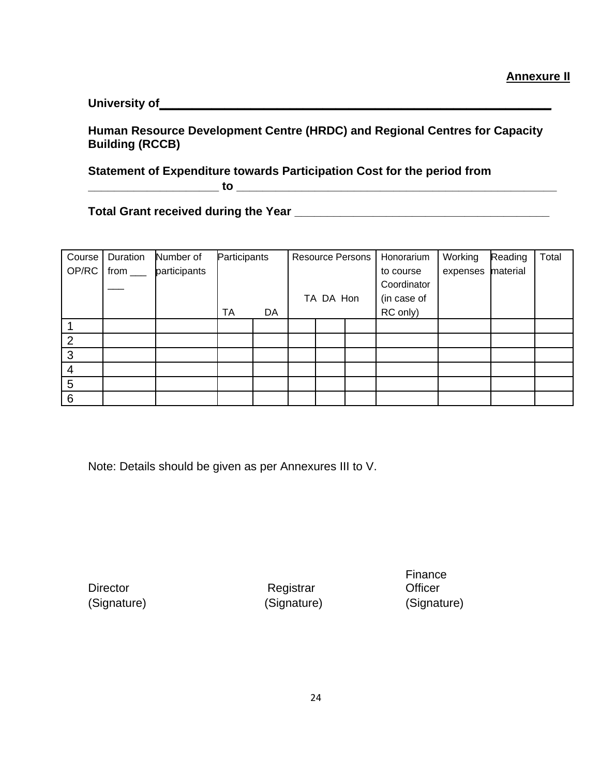**University of\_\_\_\_\_\_\_\_\_\_\_\_\_\_\_\_\_\_\_\_\_\_\_\_\_\_\_\_\_\_\_\_\_\_\_\_\_\_\_\_\_\_\_\_\_\_\_\_\_\_\_\_\_\_\_\_\_\_\_\_**

**Human Resource Development Centre (HRDC) and Regional Centres for Capacity Building (RCCB)** 

**Statement of Expenditure towards Participation Cost for the period from**

**\_\_\_\_\_\_\_\_\_\_\_\_\_\_\_\_\_\_\_\_ to \_\_\_\_\_\_\_\_\_\_\_\_\_\_\_\_\_\_\_\_\_\_\_\_\_\_\_\_\_\_\_\_\_\_\_\_\_\_\_\_\_\_\_\_\_\_\_\_\_**

**Total Grant received during the Year \_\_\_\_\_\_\_\_\_\_\_\_\_\_\_\_\_\_\_\_\_\_\_\_\_\_\_\_\_\_\_\_\_\_\_\_\_\_\_**

| Course | Duration    | Number of    | Participants |    |           | <b>Resource Persons</b> | Honorarium  | Working  | Reading  | Total |
|--------|-------------|--------------|--------------|----|-----------|-------------------------|-------------|----------|----------|-------|
| OP/RC  | from $\_\_$ | participants |              |    |           |                         | to course   | expenses | material |       |
|        |             |              |              |    |           |                         | Coordinator |          |          |       |
|        |             |              |              |    | TA DA Hon |                         | (in case of |          |          |       |
|        |             |              | TA           | DA |           |                         | RC only)    |          |          |       |
|        |             |              |              |    |           |                         |             |          |          |       |
| າ      |             |              |              |    |           |                         |             |          |          |       |
| 3      |             |              |              |    |           |                         |             |          |          |       |
| 4      |             |              |              |    |           |                         |             |          |          |       |
| 5      |             |              |              |    |           |                         |             |          |          |       |
| 6      |             |              |              |    |           |                         |             |          |          |       |

Note: Details should be given as per Annexures III to V.

Director Registrar (Signature) (Signature) (Signature)

Finance **Officer**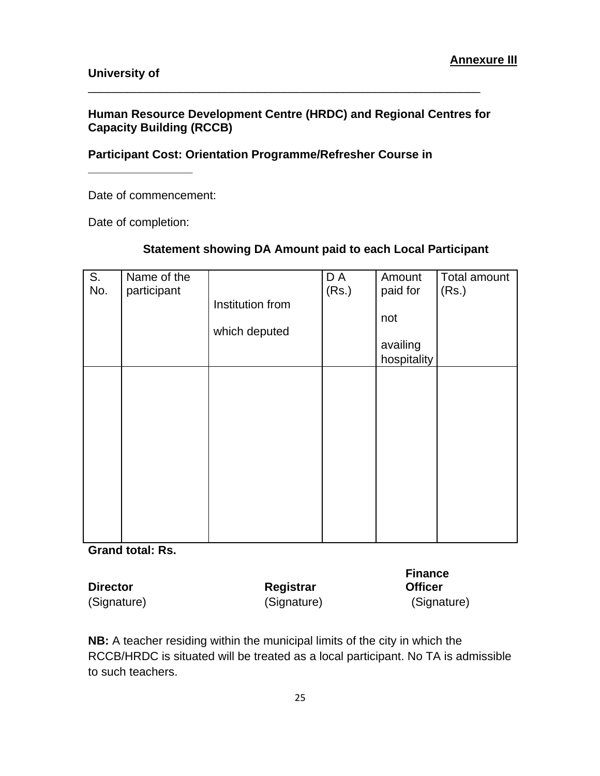## **Human Resource Development Centre (HRDC) and Regional Centres for Capacity Building (RCCB)**

\_\_\_\_\_\_\_\_\_\_\_\_\_\_\_\_\_\_\_\_\_\_\_\_\_\_\_\_\_\_\_\_\_\_\_\_\_\_\_\_\_\_\_\_\_\_\_\_\_\_\_\_\_\_\_\_\_\_\_\_

#### **Participant Cost: Orientation Programme/Refresher Course in**

Date of commencement:

Date of completion:

**\_\_\_\_\_\_\_\_\_\_\_\_\_\_\_\_**

| S.<br>No. | Name of the<br>participant | Institution from | D A<br>(Rs.) | Amount<br>paid for<br>not | Total amount<br>(Rs.) |
|-----------|----------------------------|------------------|--------------|---------------------------|-----------------------|
|           |                            | which deputed    |              | availing<br>hospitality   |                       |
|           |                            |                  |              |                           |                       |
|           |                            |                  |              |                           |                       |
|           |                            |                  |              |                           |                       |
|           |                            |                  |              |                           |                       |

## **Statement showing DA Amount paid to each Local Participant**

**Grand total: Rs.**

|                 |             | <b>Finance</b> |
|-----------------|-------------|----------------|
| <b>Director</b> | Registrar   | <b>Officer</b> |
| (Signature)     | (Signature) | (Signature)    |

**NB:** A teacher residing within the municipal limits of the city in which the RCCB/HRDC is situated will be treated as a local participant. No TA is admissible to such teachers.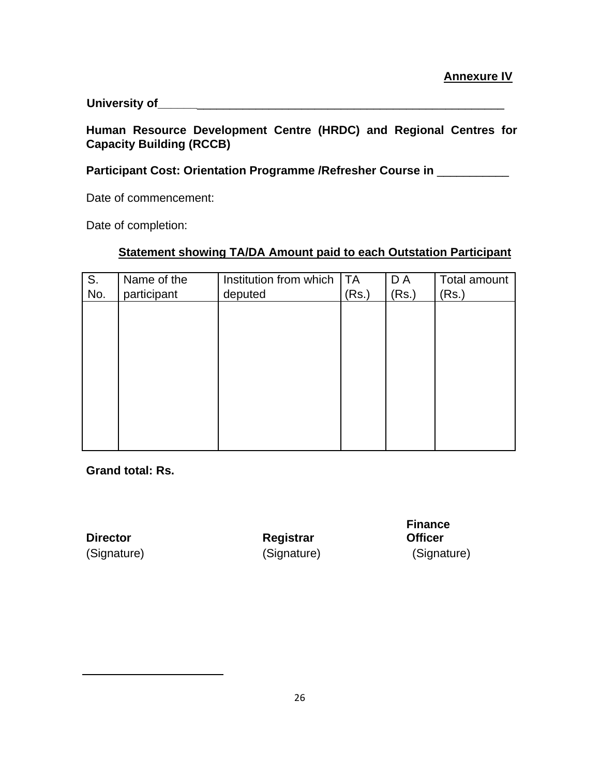#### **University of\_\_\_\_\_\_**\_\_\_\_\_\_\_\_\_\_\_\_\_\_\_\_\_\_\_\_\_\_\_\_\_\_\_\_\_\_\_\_\_\_\_\_\_\_\_\_\_\_\_\_\_\_\_

#### **Human Resource Development Centre (HRDC) and Regional Centres for Capacity Building (RCCB)**

## Participant Cost: Orientation Programme /Refresher Course in \_\_\_\_\_\_\_\_\_\_

Date of commencement:

Date of completion:

#### **Statement showing TA/DA Amount paid to each Outstation Participant**

| S.  | Name of the | Institution from which   TA |       | D A   | Total amount |
|-----|-------------|-----------------------------|-------|-------|--------------|
| No. | participant | deputed                     | (Rs.) | (Rs.) | (Rs.)        |
|     |             |                             |       |       |              |
|     |             |                             |       |       |              |
|     |             |                             |       |       |              |
|     |             |                             |       |       |              |
|     |             |                             |       |       |              |
|     |             |                             |       |       |              |
|     |             |                             |       |       |              |
|     |             |                             |       |       |              |
|     |             |                             |       |       |              |
|     |             |                             |       |       |              |
|     |             |                             |       |       |              |

**Grand total: Rs.**

**Director Registrar** 

**Finance Officer** (Signature) (Signature) (Signature)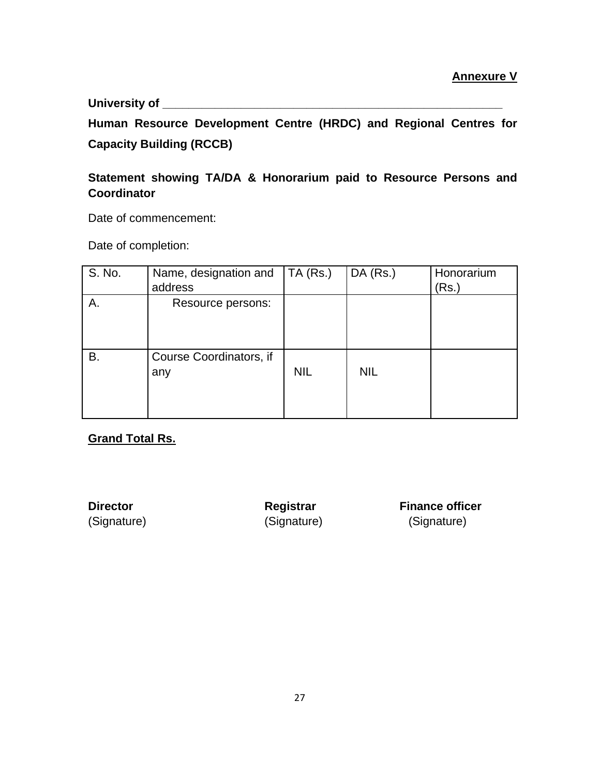**University of \_\_\_\_\_\_\_\_\_\_\_\_\_\_\_\_\_\_\_\_\_\_\_\_\_\_\_\_\_\_\_\_\_\_\_\_\_\_\_\_\_\_\_\_\_\_\_\_\_\_\_\_**

**Human Resource Development Centre (HRDC) and Regional Centres for Capacity Building (RCCB)** 

## **Statement showing TA/DA & Honorarium paid to Resource Persons and Coordinator**

Date of commencement:

Date of completion:

| S. No. | Name, designation and<br>address | TA(Rs.)    | $DA$ (Rs.) | Honorarium<br>(Rs.) |
|--------|----------------------------------|------------|------------|---------------------|
| Α.     | Resource persons:                |            |            |                     |
| В.     | Course Coordinators, if<br>any   | <b>NIL</b> | <b>NIL</b> |                     |

**Grand Total Rs.**

**Director Registrar Finance officer** (Signature) (Signature) (Signature)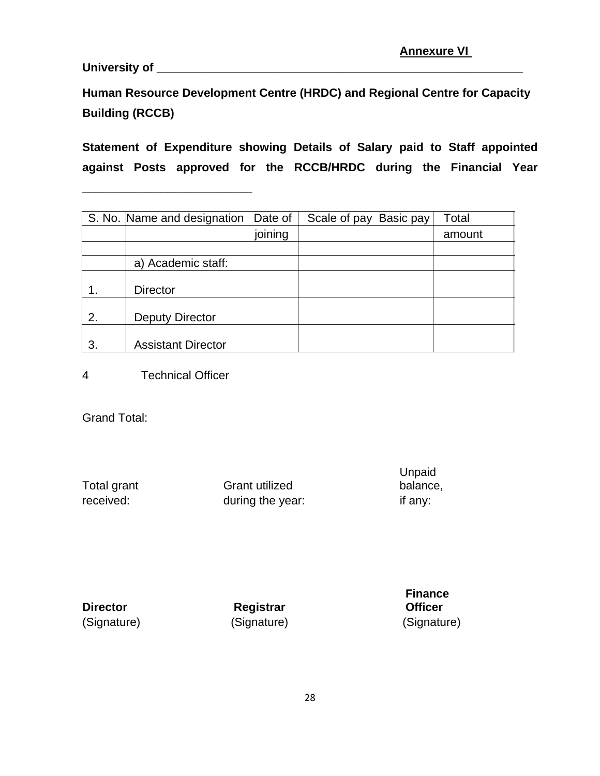**University of \_\_\_\_\_\_\_\_\_\_\_\_\_\_\_\_\_\_\_\_\_\_\_\_\_\_\_\_\_\_\_\_\_\_\_\_\_\_\_\_\_\_\_\_\_\_\_\_\_\_\_\_\_\_\_\_**

**Human Resource Development Centre (HRDC) and Regional Centre for Capacity Building (RCCB)** 

**Statement of Expenditure showing Details of Salary paid to Staff appointed against Posts approved for the RCCB/HRDC during the Financial Year** 

|    | S. No. Name and designation Date of |         | Scale of pay Basic pay | Total  |
|----|-------------------------------------|---------|------------------------|--------|
|    |                                     | joining |                        | amount |
|    |                                     |         |                        |        |
|    | a) Academic staff:                  |         |                        |        |
|    | <b>Director</b>                     |         |                        |        |
| 2. | Deputy Director                     |         |                        |        |
| 3. | <b>Assistant Director</b>           |         |                        |        |

4 Technical Officer

**\_\_\_\_\_\_\_\_\_\_\_\_\_\_\_\_\_\_\_\_\_\_\_\_\_\_**

Grand Total:

Total grant Grant utilized Unpaid balance, received: during the year: if any:

**Director Registrar** (Signature) (Signature) (Signature)

**Finance Officer**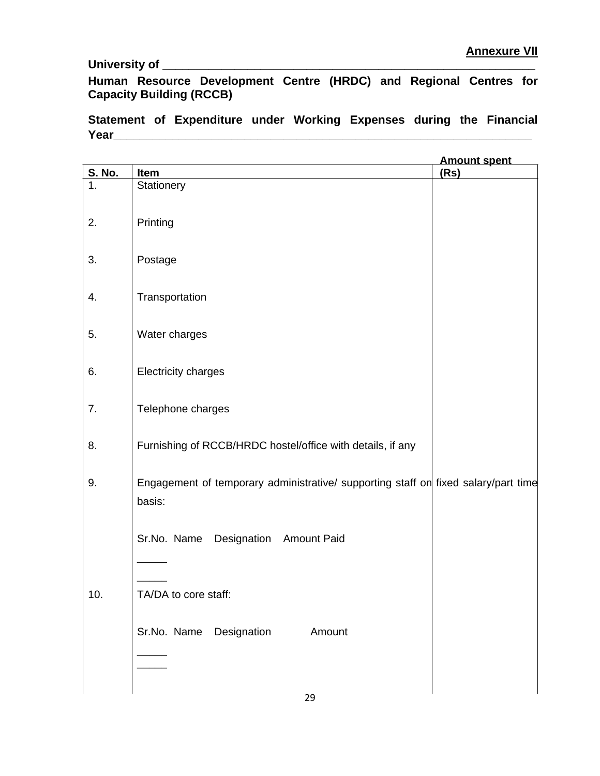#### **University of \_\_\_\_\_\_\_\_\_\_\_\_\_\_\_\_\_\_\_\_\_\_\_\_\_\_\_\_\_\_\_\_\_\_\_\_\_\_\_\_\_\_\_\_\_\_\_\_\_\_\_\_\_\_\_\_\_**

**Human Resource Development Centre (HRDC) and Regional Centres for Capacity Building (RCCB)** 

**Statement of Expenditure under Working Expenses during the Financial Year\_\_\_\_\_\_\_\_\_\_\_\_\_\_\_\_\_\_\_\_\_\_\_\_\_\_\_\_\_\_\_\_\_\_\_\_\_\_\_\_\_\_\_\_\_\_\_\_\_\_\_\_\_\_\_\_\_\_\_\_\_\_\_\_**

|                                |                                                                                              | <b>Amount spent</b> |
|--------------------------------|----------------------------------------------------------------------------------------------|---------------------|
| <b>S. No.</b><br>$\mathbf 1$ . | Item<br>Stationery                                                                           | (Rs)                |
| 2.                             | Printing                                                                                     |                     |
| 3.                             | Postage                                                                                      |                     |
| 4.                             | Transportation                                                                               |                     |
| 5.                             | Water charges                                                                                |                     |
| 6.                             | Electricity charges                                                                          |                     |
| 7.                             | Telephone charges                                                                            |                     |
| 8.                             | Furnishing of RCCB/HRDC hostel/office with details, if any                                   |                     |
| 9.                             | Engagement of temporary administrative/ supporting staff on fixed salary/part time<br>basis: |                     |
|                                | Designation Amount Paid<br>Sr.No. Name                                                       |                     |
| 10.                            | TA/DA to core staff:                                                                         |                     |
|                                | Sr.No. Name Designation<br>Amount                                                            |                     |
|                                |                                                                                              |                     |
|                                |                                                                                              |                     |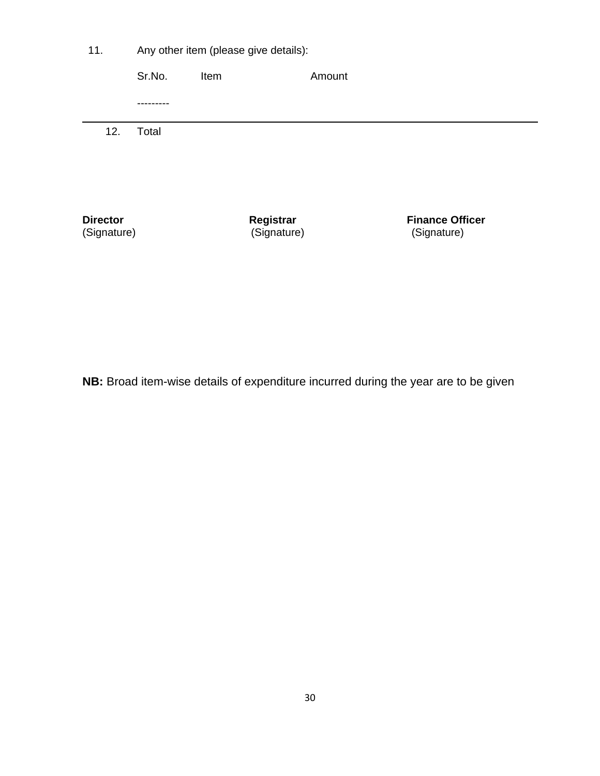| 11.                            | Any other item (please give details): |      |                          |        |                                       |  |
|--------------------------------|---------------------------------------|------|--------------------------|--------|---------------------------------------|--|
|                                | Sr.No.                                | Item |                          | Amount |                                       |  |
|                                |                                       |      |                          |        |                                       |  |
| 12.                            | Total                                 |      |                          |        |                                       |  |
| <b>Director</b><br>(Signature) |                                       |      | Registrar<br>(Signature) |        | <b>Finance Officer</b><br>(Signature) |  |

**NB:** Broad item-wise details of expenditure incurred during the year are to be given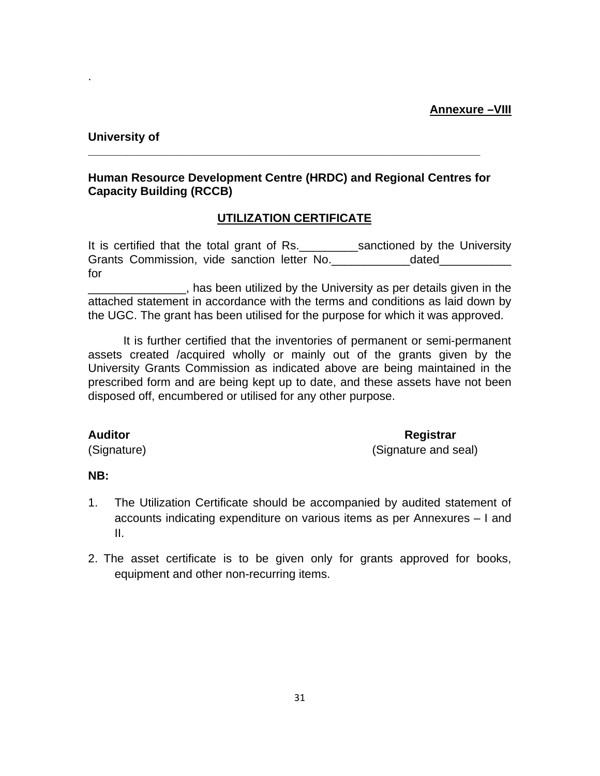#### **University of**

.

## **Human Resource Development Centre (HRDC) and Regional Centres for Capacity Building (RCCB)**

**\_\_\_\_\_\_\_\_\_\_\_\_\_\_\_\_\_\_\_\_\_\_\_\_\_\_\_\_\_\_\_\_\_\_\_\_\_\_\_\_\_\_\_\_\_\_\_\_\_\_\_\_\_\_\_\_\_\_\_\_**

## **UTILIZATION CERTIFICATE**

It is certified that the total grant of Rs. \_\_\_\_\_\_\_\_\_\_sanctioned by the University Grants Commission, vide sanction letter No. \_\_\_\_\_\_\_\_\_\_\_\_\_\_\_\_dated\_ for

\_\_\_\_\_\_\_\_\_\_\_\_\_\_\_, has been utilized by the University as per details given in the attached statement in accordance with the terms and conditions as laid down by the UGC. The grant has been utilised for the purpose for which it was approved.

It is further certified that the inventories of permanent or semi-permanent assets created /acquired wholly or mainly out of the grants given by the University Grants Commission as indicated above are being maintained in the prescribed form and are being kept up to date, and these assets have not been disposed off, encumbered or utilised for any other purpose.

**Auditor Registrar**

(Signature) (Signature and seal)

#### **NB:**

- 1. The Utilization Certificate should be accompanied by audited statement of accounts indicating expenditure on various items as per Annexures – I and II.
- 2. The asset certificate is to be given only for grants approved for books, equipment and other non-recurring items.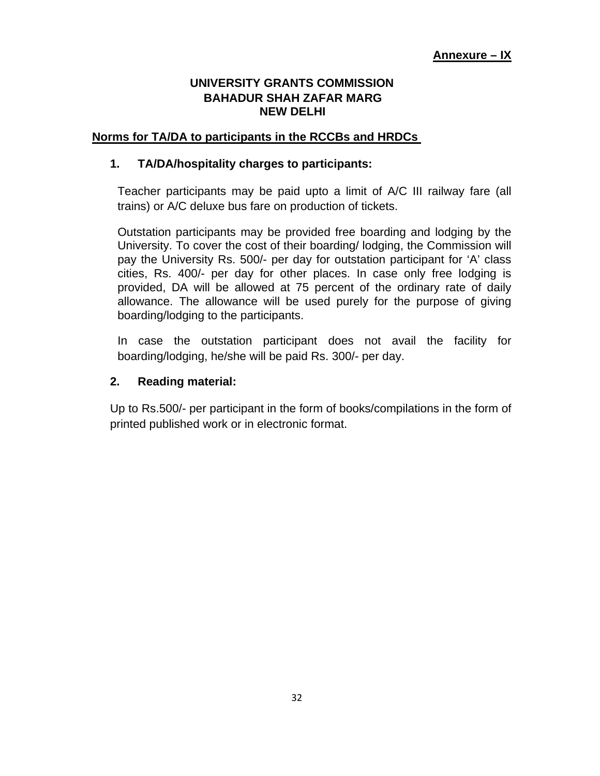### **UNIVERSITY GRANTS COMMISSION BAHADUR SHAH ZAFAR MARG NEW DELHI**

#### **Norms for TA/DA to participants in the RCCBs and HRDCs**

#### **1. TA/DA/hospitality charges to participants:**

Teacher participants may be paid upto a limit of A/C III railway fare (all trains) or A/C deluxe bus fare on production of tickets.

Outstation participants may be provided free boarding and lodging by the University. To cover the cost of their boarding/ lodging, the Commission will pay the University Rs. 500/- per day for outstation participant for 'A' class cities, Rs. 400/- per day for other places. In case only free lodging is provided, DA will be allowed at 75 percent of the ordinary rate of daily allowance. The allowance will be used purely for the purpose of giving boarding/lodging to the participants.

In case the outstation participant does not avail the facility for boarding/lodging, he/she will be paid Rs. 300/- per day.

#### **2. Reading material:**

Up to Rs.500/- per participant in the form of books/compilations in the form of printed published work or in electronic format.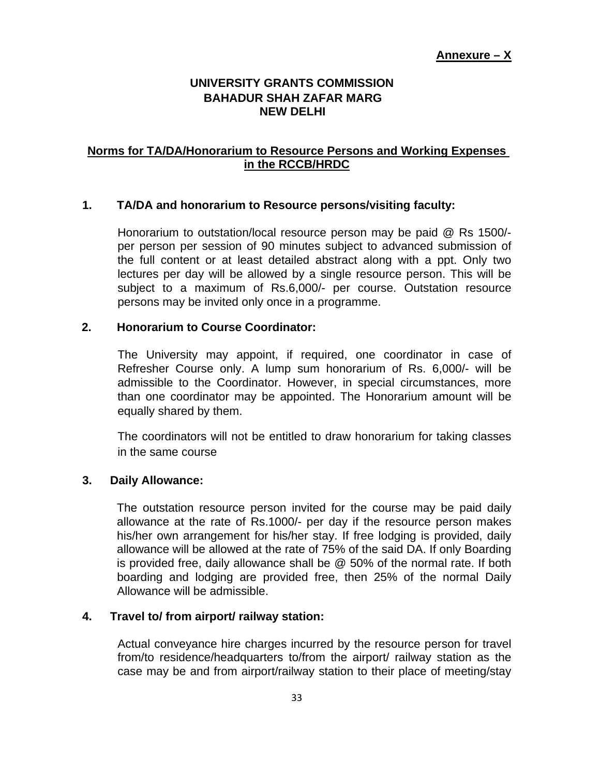#### **UNIVERSITY GRANTS COMMISSION BAHADUR SHAH ZAFAR MARG NEW DELHI**

#### **Norms for TA/DA/Honorarium to Resource Persons and Working Expenses in the RCCB/HRDC**

#### **1. TA/DA and honorarium to Resource persons/visiting faculty:**

Honorarium to outstation/local resource person may be paid @ Rs 1500/ per person per session of 90 minutes subject to advanced submission of the full content or at least detailed abstract along with a ppt. Only two lectures per day will be allowed by a single resource person. This will be subject to a maximum of Rs.6,000/- per course. Outstation resource persons may be invited only once in a programme.

#### **2. Honorarium to Course Coordinator:**

The University may appoint, if required, one coordinator in case of Refresher Course only. A lump sum honorarium of Rs. 6,000/- will be admissible to the Coordinator. However, in special circumstances, more than one coordinator may be appointed. The Honorarium amount will be equally shared by them.

The coordinators will not be entitled to draw honorarium for taking classes in the same course

#### **3. Daily Allowance:**

The outstation resource person invited for the course may be paid daily allowance at the rate of Rs.1000/- per day if the resource person makes his/her own arrangement for his/her stay. If free lodging is provided, daily allowance will be allowed at the rate of 75% of the said DA. If only Boarding is provided free, daily allowance shall be @ 50% of the normal rate. If both boarding and lodging are provided free, then 25% of the normal Daily Allowance will be admissible.

#### **4. Travel to/ from airport/ railway station:**

Actual conveyance hire charges incurred by the resource person for travel from/to residence/headquarters to/from the airport/ railway station as the case may be and from airport/railway station to their place of meeting/stay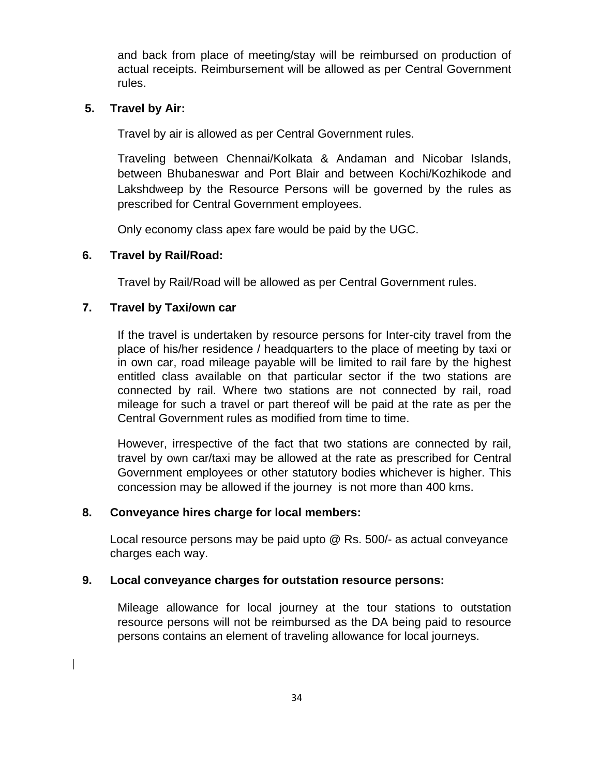and back from place of meeting/stay will be reimbursed on production of actual receipts. Reimbursement will be allowed as per Central Government rules.

#### **5. Travel by Air:**

Travel by air is allowed as per Central Government rules.

Traveling between Chennai/Kolkata & Andaman and Nicobar Islands, between Bhubaneswar and Port Blair and between Kochi/Kozhikode and Lakshdweep by the Resource Persons will be governed by the rules as prescribed for Central Government employees.

Only economy class apex fare would be paid by the UGC.

#### **6. Travel by Rail/Road:**

Travel by Rail/Road will be allowed as per Central Government rules.

#### **7. Travel by Taxi/own car**

If the travel is undertaken by resource persons for Inter-city travel from the place of his/her residence / headquarters to the place of meeting by taxi or in own car, road mileage payable will be limited to rail fare by the highest entitled class available on that particular sector if the two stations are connected by rail. Where two stations are not connected by rail, road mileage for such a travel or part thereof will be paid at the rate as per the Central Government rules as modified from time to time.

However, irrespective of the fact that two stations are connected by rail, travel by own car/taxi may be allowed at the rate as prescribed for Central Government employees or other statutory bodies whichever is higher. This concession may be allowed if the journey is not more than 400 kms.

#### **8. Conveyance hires charge for local members:**

Local resource persons may be paid upto @ Rs. 500/- as actual conveyance charges each way.

#### **9. Local conveyance charges for outstation resource persons:**

Mileage allowance for local journey at the tour stations to outstation resource persons will not be reimbursed as the DA being paid to resource persons contains an element of traveling allowance for local journeys.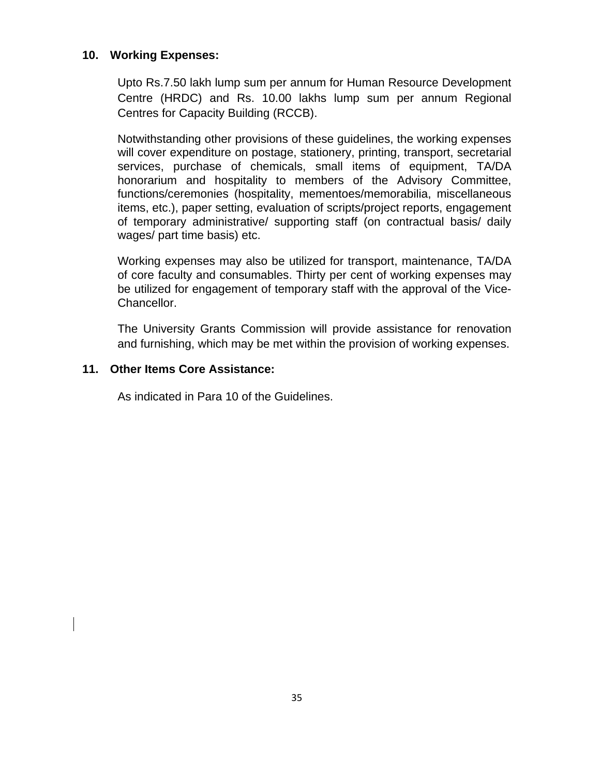#### **10. Working Expenses:**

Upto Rs.7.50 lakh lump sum per annum for Human Resource Development Centre (HRDC) and Rs. 10.00 lakhs lump sum per annum Regional Centres for Capacity Building (RCCB).

Notwithstanding other provisions of these guidelines, the working expenses will cover expenditure on postage, stationery, printing, transport, secretarial services, purchase of chemicals, small items of equipment, TA/DA honorarium and hospitality to members of the Advisory Committee, functions/ceremonies (hospitality, mementoes/memorabilia, miscellaneous items, etc.), paper setting, evaluation of scripts/project reports, engagement of temporary administrative/ supporting staff (on contractual basis/ daily wages/ part time basis) etc.

Working expenses may also be utilized for transport, maintenance, TA/DA of core faculty and consumables. Thirty per cent of working expenses may be utilized for engagement of temporary staff with the approval of the Vice-Chancellor.

The University Grants Commission will provide assistance for renovation and furnishing, which may be met within the provision of working expenses.

#### **11. Other Items Core Assistance:**

As indicated in Para 10 of the Guidelines.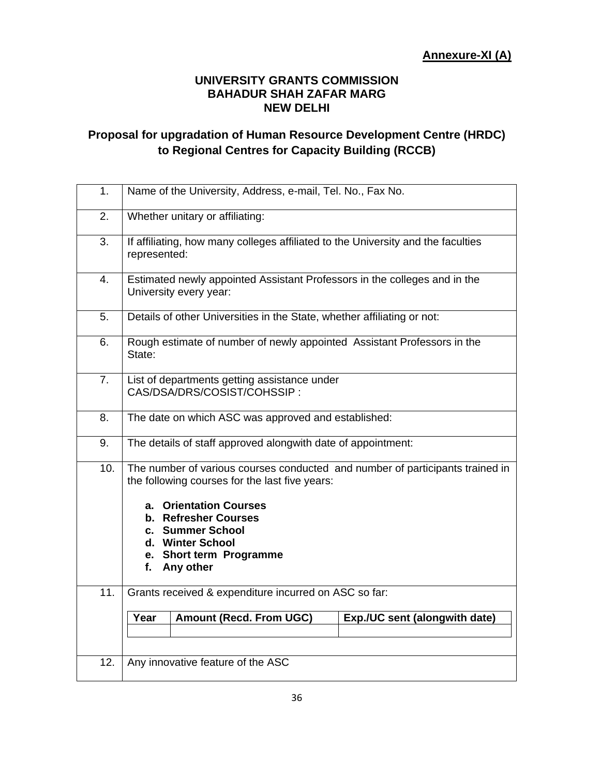#### **UNIVERSITY GRANTS COMMISSION BAHADUR SHAH ZAFAR MARG NEW DELHI**

# **Proposal for upgradation of Human Resource Development Centre (HRDC) to Regional Centres for Capacity Building (RCCB)**

| 1.         | Name of the University, Address, e-mail, Tel. No., Fax No.                                                                                                                                                                                                                                                                       |  |
|------------|----------------------------------------------------------------------------------------------------------------------------------------------------------------------------------------------------------------------------------------------------------------------------------------------------------------------------------|--|
| 2.         | Whether unitary or affiliating:                                                                                                                                                                                                                                                                                                  |  |
| 3.         | If affiliating, how many colleges affiliated to the University and the faculties<br>represented:                                                                                                                                                                                                                                 |  |
| 4.         | Estimated newly appointed Assistant Professors in the colleges and in the<br>University every year:                                                                                                                                                                                                                              |  |
| 5.         | Details of other Universities in the State, whether affiliating or not:                                                                                                                                                                                                                                                          |  |
| 6.         | Rough estimate of number of newly appointed Assistant Professors in the<br>State:                                                                                                                                                                                                                                                |  |
| 7.         | List of departments getting assistance under<br>CAS/DSA/DRS/COSIST/COHSSIP:                                                                                                                                                                                                                                                      |  |
| 8.         | The date on which ASC was approved and established:                                                                                                                                                                                                                                                                              |  |
| 9.         | The details of staff approved alongwith date of appointment:                                                                                                                                                                                                                                                                     |  |
| 10.<br>11. | The number of various courses conducted and number of participants trained in<br>the following courses for the last five years:<br>a. Orientation Courses<br>b. Refresher Courses<br>c. Summer School<br>d. Winter School<br>e. Short term Programme<br>Any other<br>f.<br>Grants received & expenditure incurred on ASC so far: |  |
|            | <b>Amount (Recd. From UGC)</b><br>Exp./UC sent (alongwith date)<br>Year                                                                                                                                                                                                                                                          |  |
|            |                                                                                                                                                                                                                                                                                                                                  |  |
| 12.        | Any innovative feature of the ASC                                                                                                                                                                                                                                                                                                |  |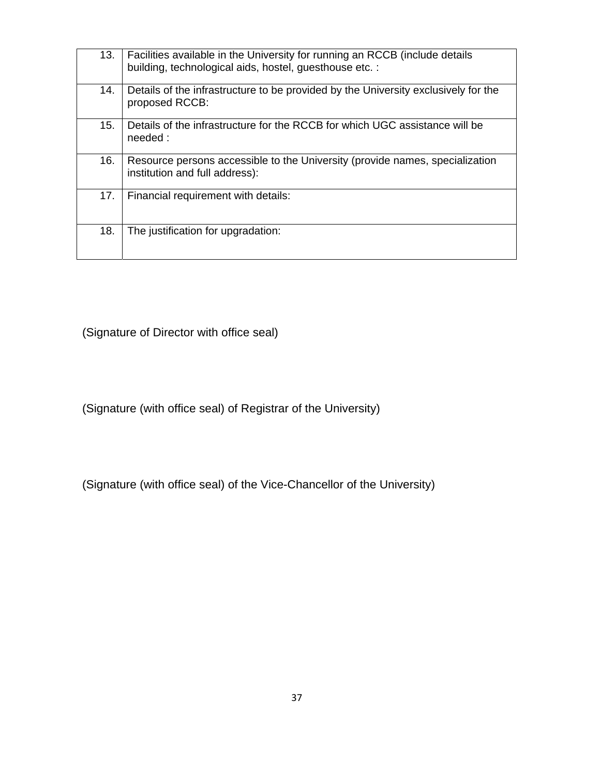| 13. | Facilities available in the University for running an RCCB (include details<br>building, technological aids, hostel, guesthouse etc. : |
|-----|----------------------------------------------------------------------------------------------------------------------------------------|
| 14. | Details of the infrastructure to be provided by the University exclusively for the<br>proposed RCCB:                                   |
| 15. | Details of the infrastructure for the RCCB for which UGC assistance will be<br>needed:                                                 |
| 16. | Resource persons accessible to the University (provide names, specialization<br>institution and full address):                         |
| 17. | Financial requirement with details:                                                                                                    |
| 18. | The justification for upgradation:                                                                                                     |

(Signature of Director with office seal)

(Signature (with office seal) of Registrar of the University)

(Signature (with office seal) of the Vice-Chancellor of the University)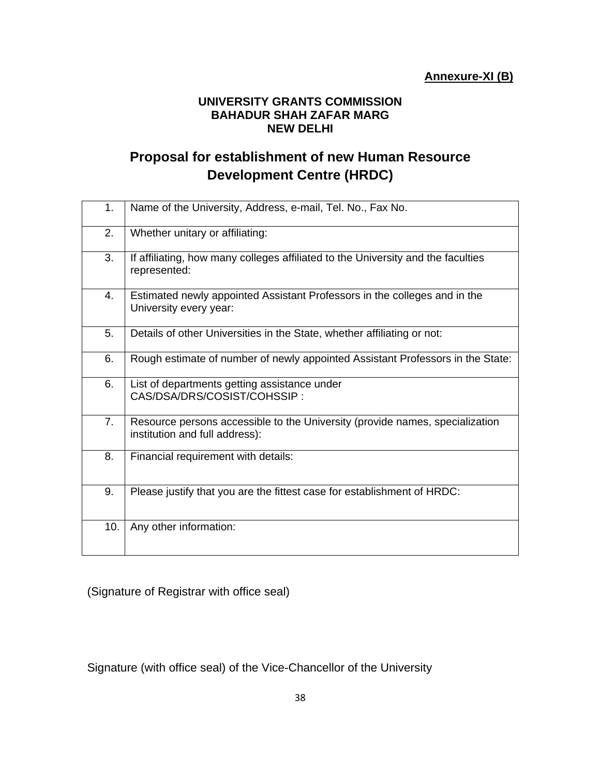#### **UNIVERSITY GRANTS COMMISSION BAHADUR SHAH ZAFAR MARG NEW DELHI**

# **Proposal for establishment of new Human Resource Development Centre (HRDC)**

| 1.  | Name of the University, Address, e-mail, Tel. No., Fax No.                                                     |
|-----|----------------------------------------------------------------------------------------------------------------|
| 2.  | Whether unitary or affiliating:                                                                                |
| 3.  | If affiliating, how many colleges affiliated to the University and the faculties<br>represented:               |
| 4.  | Estimated newly appointed Assistant Professors in the colleges and in the<br>University every year:            |
| 5.  | Details of other Universities in the State, whether affiliating or not:                                        |
| 6.  | Rough estimate of number of newly appointed Assistant Professors in the State:                                 |
| 6.  | List of departments getting assistance under<br>CAS/DSA/DRS/COSIST/COHSSIP:                                    |
| 7.  | Resource persons accessible to the University (provide names, specialization<br>institution and full address): |
| 8.  | Financial requirement with details:                                                                            |
| 9.  | Please justify that you are the fittest case for establishment of HRDC:                                        |
| 10. | Any other information:                                                                                         |

(Signature of Registrar with office seal)

Signature (with office seal) of the Vice-Chancellor of the University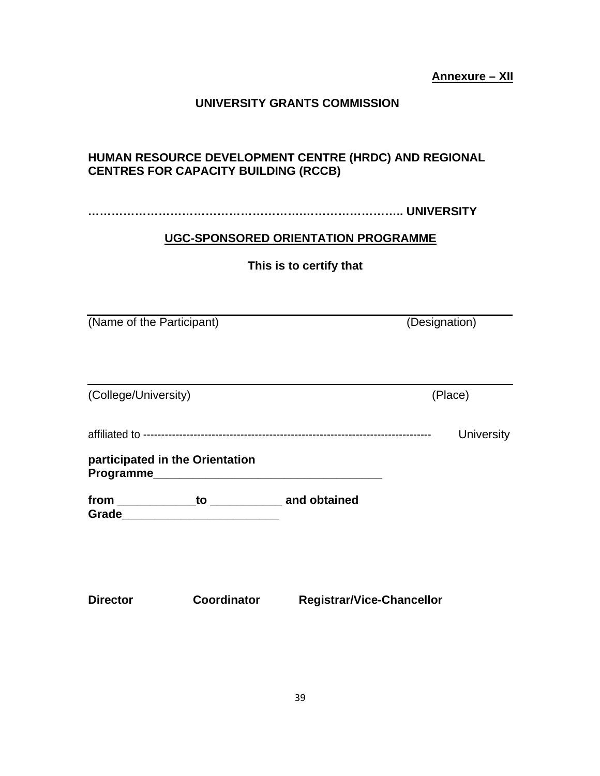#### **UNIVERSITY GRANTS COMMISSION**

## **HUMAN RESOURCE DEVELOPMENT CENTRE (HRDC) AND REGIONAL CENTRES FOR CAPACITY BUILDING (RCCB)**

**……………………………………………….…………………….. UNIVERSITY** 

#### **UGC-SPONSORED ORIENTATION PROGRAMME**

**This is to certify that**

(Name of the Participant) (Designation)

(College/University) (Place) affiliated to -------------------------------------------------------------------------------- University **participated in the Orientation Programme\_\_\_\_\_\_\_\_\_\_\_\_\_\_\_\_\_\_\_\_\_\_\_\_\_\_\_\_\_\_\_\_\_\_\_ from \_\_\_\_\_\_\_\_\_\_\_\_to \_\_\_\_\_\_\_\_\_\_\_ and obtained Grade\_\_\_\_\_\_\_\_\_\_\_\_\_\_\_\_\_\_\_\_\_\_\_\_**

**Director Coordinator Registrar/Vice-Chancellor**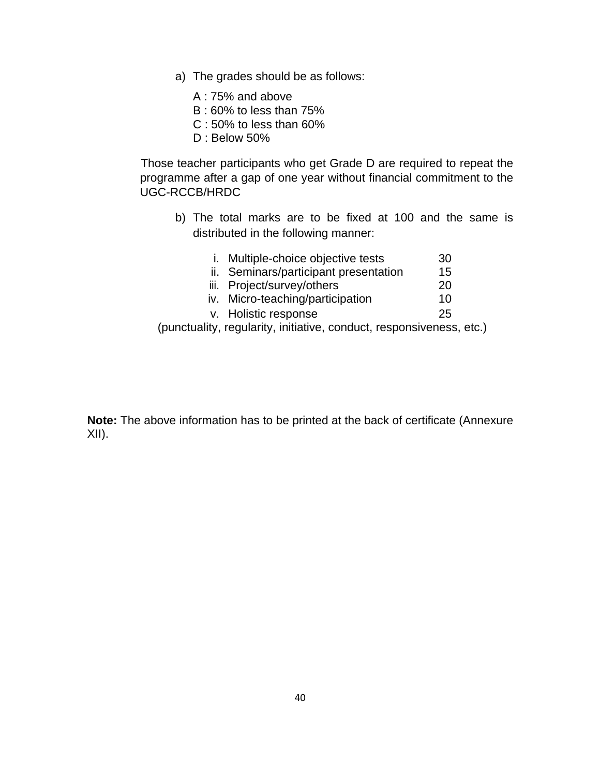a) The grades should be as follows:

A : 75% and above

B : 60% to less than 75%

C : 50% to less than 60%

D : Below 50%

Those teacher participants who get Grade D are required to repeat the programme after a gap of one year without financial commitment to the UGC-RCCB/HRDC

b) The total marks are to be fixed at 100 and the same is distributed in the following manner:

| i. Multiple-choice objective tests                                   | 30 |
|----------------------------------------------------------------------|----|
| ii. Seminars/participant presentation                                | 15 |
| iii. Project/survey/others                                           | 20 |
| iv. Micro-teaching/participation                                     | 10 |
| v. Holistic response                                                 | 25 |
| (punctuality, regularity, initiative, conduct, responsiveness, etc.) |    |

**Note:** The above information has to be printed at the back of certificate (Annexure XII).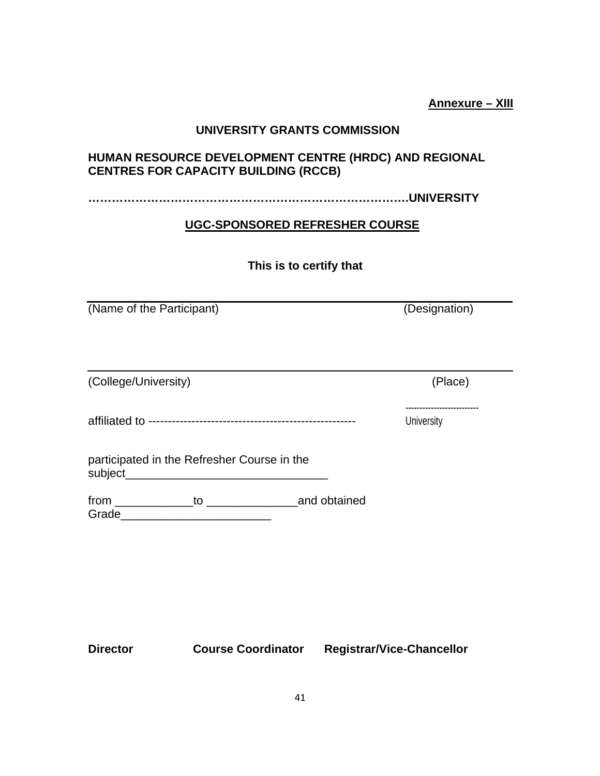**Annexure – XIII**

#### **UNIVERSITY GRANTS COMMISSION**

## **HUMAN RESOURCE DEVELOPMENT CENTRE (HRDC) AND REGIONAL CENTRES FOR CAPACITY BUILDING (RCCB)**

**……………………………………………………………………….UNIVERSITY**

#### **UGC-SPONSORED REFRESHER COURSE**

## **This is to certify that**

(Name of the Participant) (Designation)

| (College/University)                                      |                                                                                                                       |              | (Place)        |
|-----------------------------------------------------------|-----------------------------------------------------------------------------------------------------------------------|--------------|----------------|
|                                                           |                                                                                                                       |              | <br>University |
| participated in the Refresher Course in the<br>subject___ | <u> 1980 - Jan Sterling von Berling von Berling von Berling von Berling von Berling von Berling von Berling von B</u> |              |                |
| Grade                                                     | $\mathsf{to}$                                                                                                         | and obtained |                |

**Director Course Coordinator Registrar/Vice-Chancellor**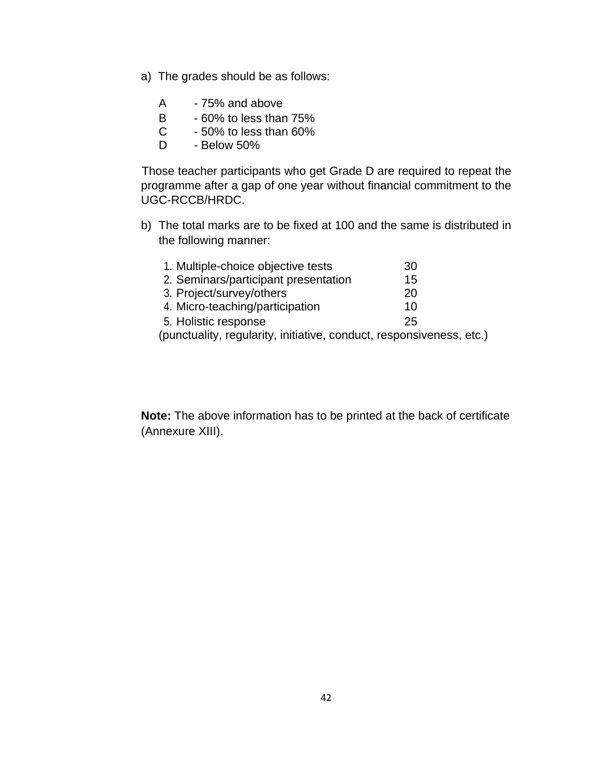- a) The grades should be as follows:
	- A 75% and above
	- B 60% to less than 75%
	- $C \rightarrow 50\%$  to less than 60%
	- D Below 50%

Those teacher participants who get Grade D are required to repeat the programme after a gap of one year without financial commitment to the UGC-RCCB/HRDC.

b) The total marks are to be fixed at 100 and the same is distributed in the following manner:

| 1. Multiple-choice objective tests                                                         | 30 |
|--------------------------------------------------------------------------------------------|----|
| 2. Seminars/participant presentation                                                       | 15 |
| 3. Project/survey/others                                                                   | 20 |
| 4. Micro-teaching/participation                                                            | 10 |
| 5. Holistic response                                                                       | 25 |
| المقادمات فالمرامي المتحاولة والمالمان والمقادمات والمتعرضات والمقابلة المردونة والمناديسة |    |

(punctuality, regularity, initiative, conduct, responsiveness, etc.)

**Note:** The above information has to be printed at the back of certificate (Annexure XIII).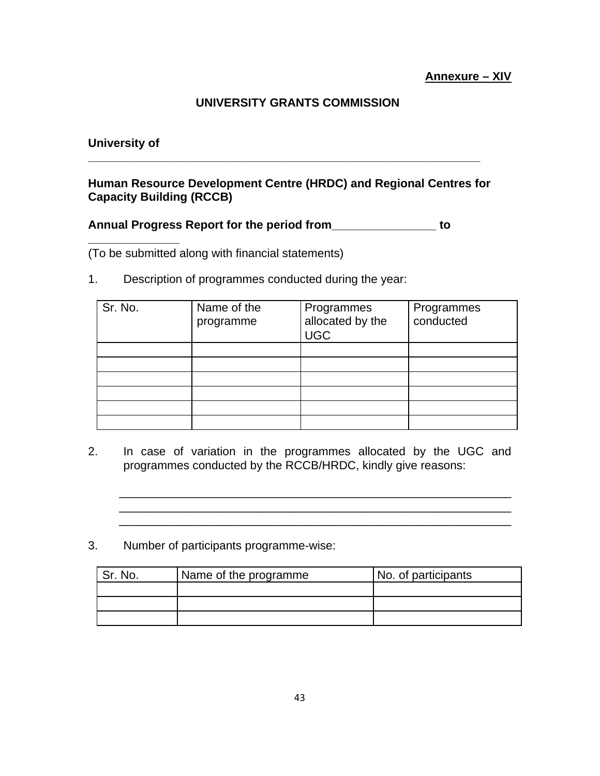## **UNIVERSITY GRANTS COMMISSION**

#### **University of**

**\_\_\_\_\_\_\_\_\_\_\_\_\_\_**

## **Human Resource Development Centre (HRDC) and Regional Centres for Capacity Building (RCCB)**

**\_\_\_\_\_\_\_\_\_\_\_\_\_\_\_\_\_\_\_\_\_\_\_\_\_\_\_\_\_\_\_\_\_\_\_\_\_\_\_\_\_\_\_\_\_\_\_\_\_\_\_\_\_\_\_\_\_\_\_\_**

#### **Annual Progress Report for the period from\_\_\_\_\_\_\_\_\_\_\_\_\_\_\_\_ to**

(To be submitted along with financial statements)

1. Description of programmes conducted during the year:

| Sr. No. | Name of the<br>programme | Programmes<br>allocated by the<br><b>UGC</b> | Programmes<br>conducted |
|---------|--------------------------|----------------------------------------------|-------------------------|
|         |                          |                                              |                         |
|         |                          |                                              |                         |
|         |                          |                                              |                         |
|         |                          |                                              |                         |
|         |                          |                                              |                         |
|         |                          |                                              |                         |

2. In case of variation in the programmes allocated by the UGC and programmes conducted by the RCCB/HRDC, kindly give reasons:

\_\_\_\_\_\_\_\_\_\_\_\_\_\_\_\_\_\_\_\_\_\_\_\_\_\_\_\_\_\_\_\_\_\_\_\_\_\_\_\_\_\_\_\_\_\_\_\_\_\_\_\_\_\_\_\_\_\_\_\_ \_\_\_\_\_\_\_\_\_\_\_\_\_\_\_\_\_\_\_\_\_\_\_\_\_\_\_\_\_\_\_\_\_\_\_\_\_\_\_\_\_\_\_\_\_\_\_\_\_\_\_\_\_\_\_\_\_\_\_\_  $\mathcal{L}_\mathcal{L} = \{ \mathcal{L}_\mathcal{L} = \{ \mathcal{L}_\mathcal{L} = \{ \mathcal{L}_\mathcal{L} = \{ \mathcal{L}_\mathcal{L} = \{ \mathcal{L}_\mathcal{L} = \{ \mathcal{L}_\mathcal{L} = \{ \mathcal{L}_\mathcal{L} = \{ \mathcal{L}_\mathcal{L} = \{ \mathcal{L}_\mathcal{L} = \{ \mathcal{L}_\mathcal{L} = \{ \mathcal{L}_\mathcal{L} = \{ \mathcal{L}_\mathcal{L} = \{ \mathcal{L}_\mathcal{L} = \{ \mathcal{L}_\mathcal{$ 

3. Number of participants programme-wise:

| No. | Name of the programme | No. of participants |
|-----|-----------------------|---------------------|
|     |                       |                     |
|     |                       |                     |
|     |                       |                     |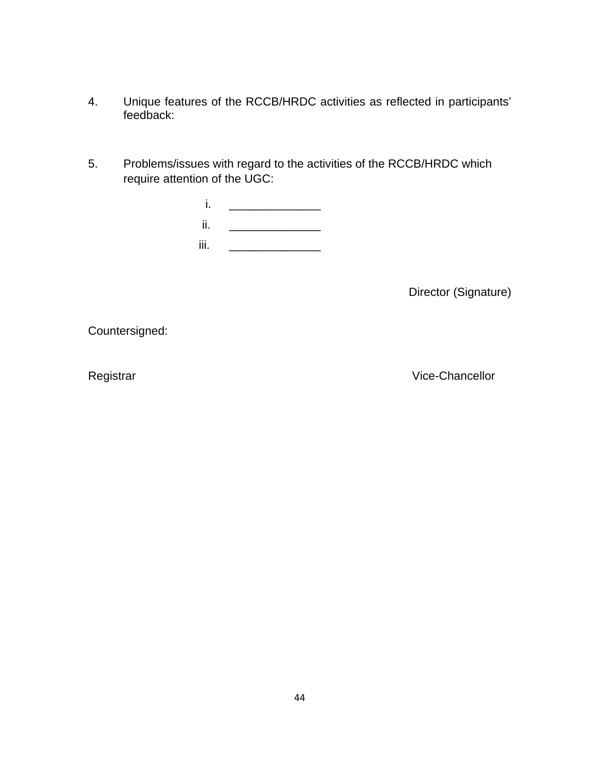- 4. Unique features of the RCCB/HRDC activities as reflected in participants' feedback:
- 5. Problems/issues with regard to the activities of the RCCB/HRDC which require attention of the UGC:

| ٠<br> |  |
|-------|--|
| ii.   |  |
| iii.  |  |

Director (Signature)

Countersigned:

Registrar **Vice-Chancellor**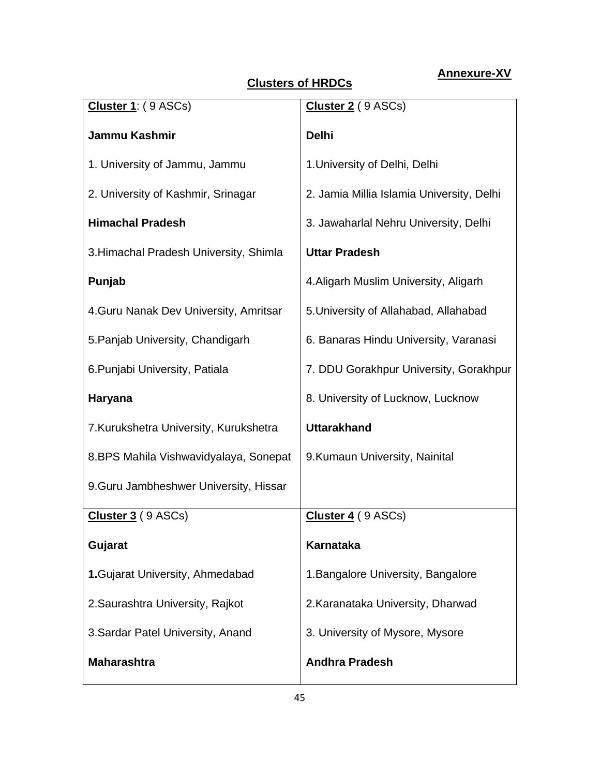# **Annexure-XV**

# **Clusters of HRDCs**

| Cluster 1: (9 ASCs)                    | Cluster 2 (9 ASCs)                        |
|----------------------------------------|-------------------------------------------|
| <b>Jammu Kashmir</b>                   | <b>Delhi</b>                              |
| 1. University of Jammu, Jammu          | 1. University of Delhi, Delhi             |
| 2. University of Kashmir, Srinagar     | 2. Jamia Millia Islamia University, Delhi |
| <b>Himachal Pradesh</b>                | 3. Jawaharlal Nehru University, Delhi     |
| 3. Himachal Pradesh University, Shimla | <b>Uttar Pradesh</b>                      |
| Punjab                                 | 4. Aligarh Muslim University, Aligarh     |
| 4. Guru Nanak Dev University, Amritsar | 5. University of Allahabad, Allahabad     |
| 5. Panjab University, Chandigarh       | 6. Banaras Hindu University, Varanasi     |
| 6. Punjabi University, Patiala         | 7. DDU Gorakhpur University, Gorakhpur    |
| Haryana                                | 8. University of Lucknow, Lucknow         |
| 7. Kurukshetra University, Kurukshetra | <b>Uttarakhand</b>                        |
| 8.BPS Mahila Vishwavidyalaya, Sonepat  | 9. Kumaun University, Nainital            |
| 9. Guru Jambheshwer University, Hissar |                                           |
| Cluster 3 (9 ASCs)                     | Cluster 4 (9 ASCs)                        |
| Gujarat                                | <b>Karnataka</b>                          |
| 1. Gujarat University, Ahmedabad       | 1. Bangalore University, Bangalore        |
| 2. Saurashtra University, Rajkot       | 2. Karanataka University, Dharwad         |
| 3. Sardar Patel University, Anand      | 3. University of Mysore, Mysore           |
| <b>Maharashtra</b>                     | <b>Andhra Pradesh</b>                     |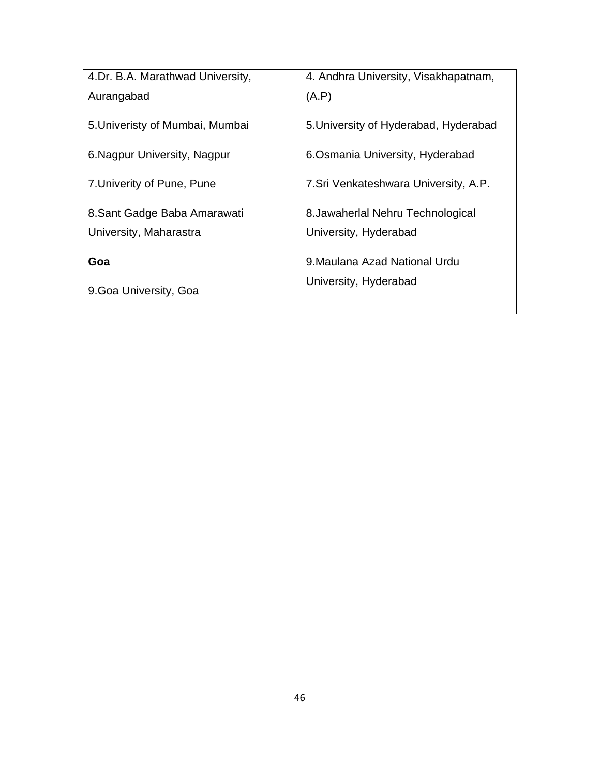| 4.Dr. B.A. Marathwad University, | 4. Andhra University, Visakhapatnam,  |  |
|----------------------------------|---------------------------------------|--|
| Aurangabad                       | (A.P)                                 |  |
|                                  |                                       |  |
| 5. Univeristy of Mumbai, Mumbai  | 5. University of Hyderabad, Hyderabad |  |
|                                  |                                       |  |
| 6. Nagpur University, Nagpur     | 6. Osmania University, Hyderabad      |  |
| 7. Univerity of Pune, Pune       | 7. Sri Venkateshwara University, A.P. |  |
|                                  |                                       |  |
| 8. Sant Gadge Baba Amarawati     | 8. Jawaherlal Nehru Technological     |  |
| University, Maharastra           | University, Hyderabad                 |  |
|                                  |                                       |  |
| Goa                              | 9. Maulana Azad National Urdu         |  |
|                                  | University, Hyderabad                 |  |
| 9. Goa University, Goa           |                                       |  |
|                                  |                                       |  |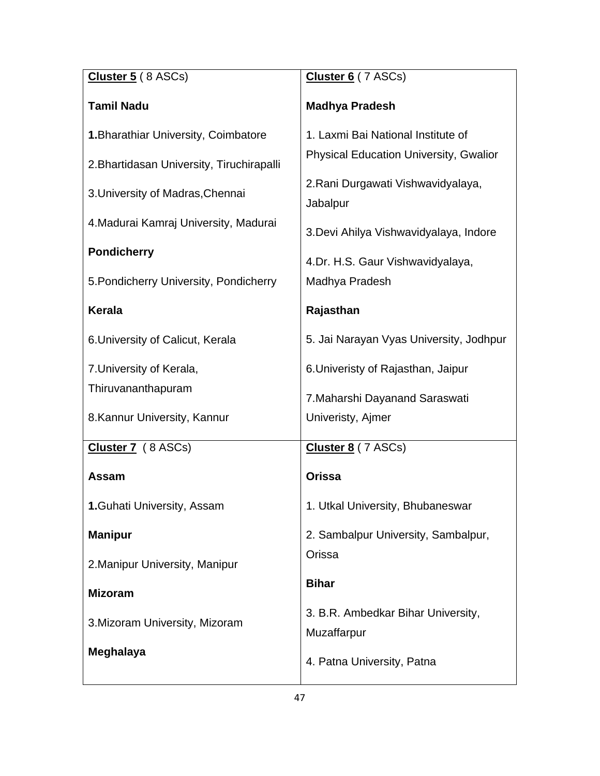| Cluster 5 (8 ASCs)                        | Cluster 6 (7 ASCs)                             |
|-------------------------------------------|------------------------------------------------|
| <b>Tamil Nadu</b>                         | <b>Madhya Pradesh</b>                          |
| 1. Bharathiar University, Coimbatore      | 1. Laxmi Bai National Institute of             |
| 2. Bhartidasan University, Tiruchirapalli | <b>Physical Education University, Gwalior</b>  |
| 3. University of Madras, Chennai          | 2. Rani Durgawati Vishwavidyalaya,<br>Jabalpur |
| 4. Madurai Kamraj University, Madurai     | 3. Devi Ahilya Vishwavidyalaya, Indore         |
| <b>Pondicherry</b>                        | 4.Dr. H.S. Gaur Vishwavidyalaya,               |
| 5. Pondicherry University, Pondicherry    | Madhya Pradesh                                 |
| <b>Kerala</b>                             | Rajasthan                                      |
| 6. University of Calicut, Kerala          | 5. Jai Narayan Vyas University, Jodhpur        |
| 7. University of Kerala,                  | 6. Univeristy of Rajasthan, Jaipur             |
| Thiruvananthapuram                        | 7. Maharshi Dayanand Saraswati                 |
| 8. Kannur University, Kannur              | Univeristy, Ajmer                              |
| Cluster 7 (8 ASCs)                        | Cluster 8 (7 ASCs)                             |
| <b>Assam</b>                              | <b>Orissa</b>                                  |
| <b>1. Guhati University, Assam</b>        | 1. Utkal University, Bhubaneswar               |
| <b>Manipur</b>                            | 2. Sambalpur University, Sambalpur,            |
| 2. Manipur University, Manipur            | Orissa                                         |
| <b>Mizoram</b>                            | <b>Bihar</b>                                   |
| 3. Mizoram University, Mizoram            | 3. B.R. Ambedkar Bihar University,             |
| Meghalaya                                 | Muzaffarpur                                    |
|                                           | 4. Patna University, Patna                     |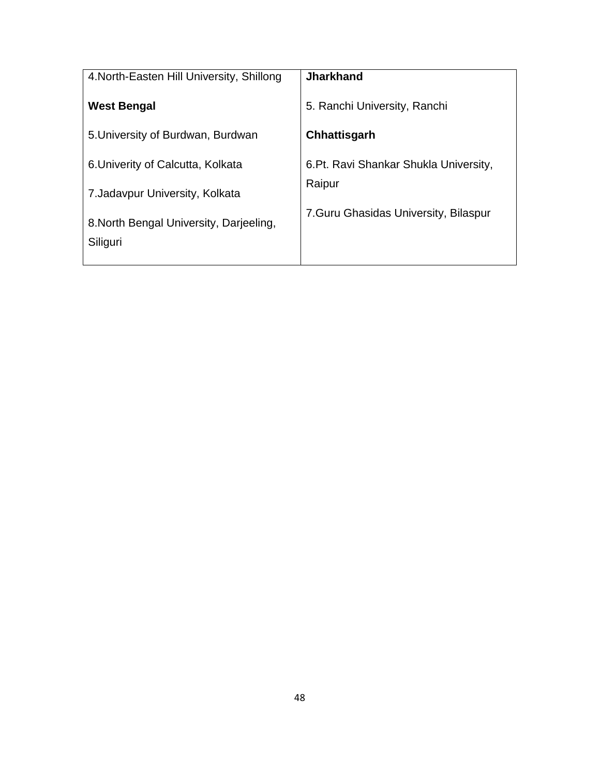| 4. North-Easten Hill University, Shillong | <b>Jharkhand</b>                       |
|-------------------------------------------|----------------------------------------|
| <b>West Bengal</b>                        | 5. Ranchi University, Ranchi           |
| 5. University of Burdwan, Burdwan         | Chhattisgarh                           |
| 6. Univerity of Calcutta, Kolkata         | 6. Pt. Ravi Shankar Shukla University, |
| 7. Jadavpur University, Kolkata           | Raipur                                 |
| 8. North Bengal University, Darjeeling,   | 7. Guru Ghasidas University, Bilaspur  |
| Siliguri                                  |                                        |
|                                           |                                        |